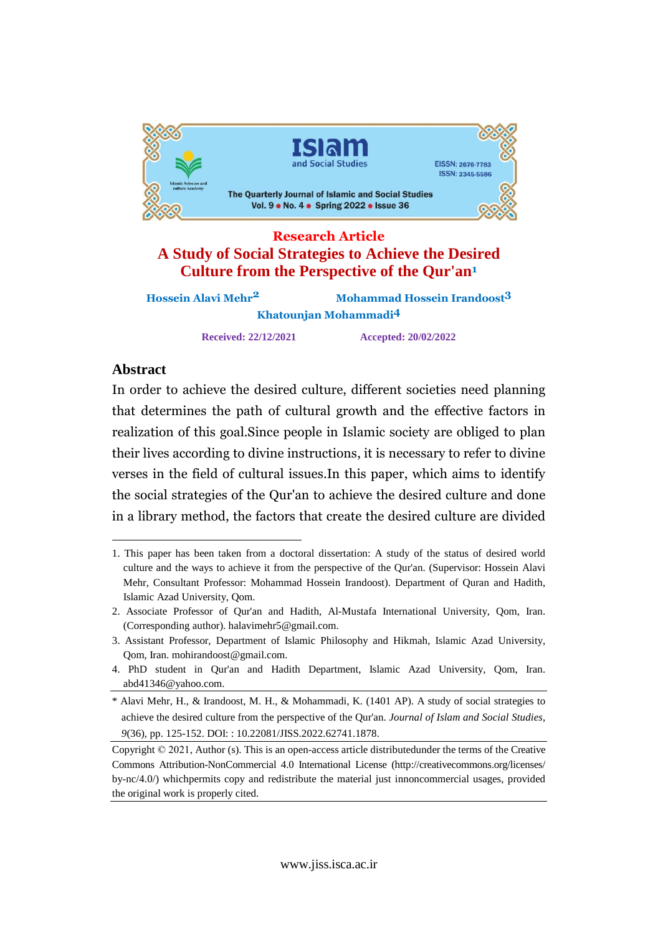

# **Research Article A Study of Social Strategies to Achieve the Desired Culture from the Perspective of the Qur'an<sup>1</sup>**

| <b>Hossein Alavi Mehr<sup>2</sup></b> | Mohammad Hossein Irandoost <sup>3</sup> |
|---------------------------------------|-----------------------------------------|
| Khatounjan Mohammadi <sup>4</sup>     |                                         |
| <b>Received: 22/12/2021</b>           | <b>Accepted: 20/02/2022</b>             |

# Abstract

In order to achieve the desired culture, different societies need planning that determines the path of cultural growth and the effective factors in of this goal. Since people in Islamic society are obliged to plan tean their lives according to divine instructions, it is necessary to refer to divine then fives according to divine instructions, it is necessary to feler to divine<br>verses in the field of cultural issues.In this paper, which aims to identify social strategies of the Qur'an to achieve the desired culture and done in<sup>a</sup> library method, the factors that create the desired culture are divided

<sup>1.</sup> This paper has been taken from a doctoral dissertation: A study of the status of desired world culture and the ways to achieve it from the perspective of the Qur'an. (Supervisor: Hossein Alavi Mehr, Consultant Professor: Mohammad Hossein Irandoost). Department of Quran and Hadith, Islamic Azad University, Qom.

<sup>2.</sup> Associate Professor of Qur'an and Hadith, Al-Mustafa International University, Qom, Iran. (Corresponding author). [halavimehr5@gmail.com.](mailto:halavimehr5@gmail.com.)

<sup>3.</sup> Assistant Professor, Department of Islamic Philosophy and Hikmah, Islamic Azad University, Qom, Iran. [mohirandoost@gmail.com.](mailto:mohirandoost@gmail.com.)

<sup>4.</sup> PhD student in Qur'an and Hadith Department, Islamic Azad University, Qom, Iran. [abd41346@yahoo.com.](mailto:abd41346@yahoo.com.)

<sup>\*</sup> Alavi Mehr, H., & Irandoost, M. H., & Mohammadi, K. (1401 AP). A study of social strategies to achieve the desired culture from the perspective of the Qur'an. *Journal of Islam and Social Studies, 9*(36), pp. 125-152. DOI: : 10.22081/JISS.2022.62741.1878.

Copyright © 2021, Author (s). This is an open-access article distributedunder the terms of the Creative Commons Attribution-NonCommercial 4.0 International License (http://creativecommons.org/licenses/ by-nc/4.0/) whichpermits copy and redistribute the material just innoncommercial usages, provided the original work is properly cited.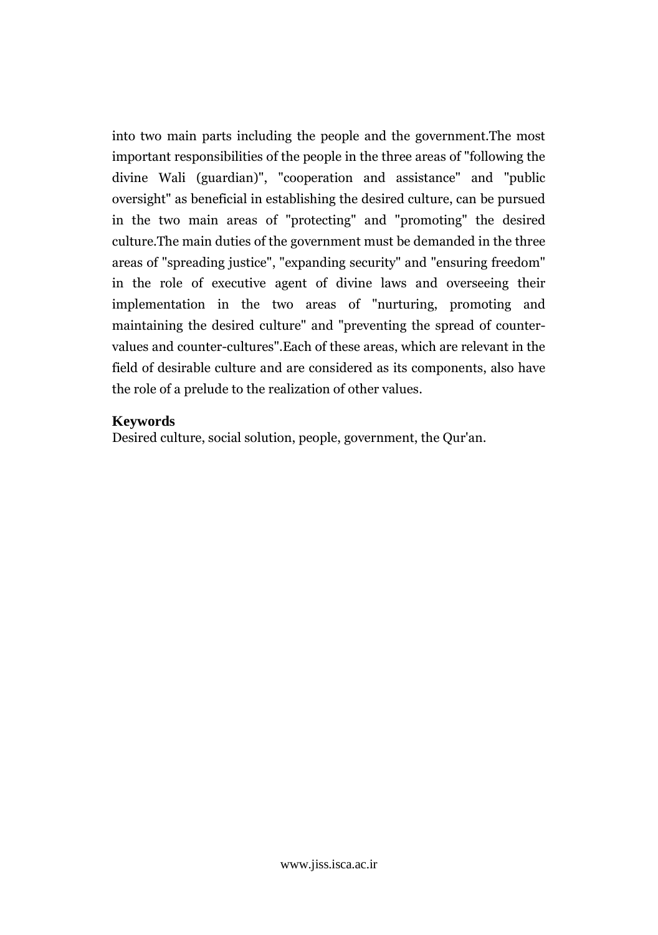into two main parts including the people and the government.The most important responsibilities of the people in the three areas of "following the Wali (guardian)", "cooperation and assistance" and "public arring *w* oversight" as beneficial in establishing the desired culture, can be pursued the two main areas of "protecting" and "promoting" the desired main duties of proceding and promoting the desired<br>main duties of the government must be demanded in the three cana. areas of "spreading justice", "expanding security" and "ensuring freedom" in the role of executive agent of divine laws and overseeing their in the two areas of "nurturing, promoting and mpicmenta maintaining the desired culture" and "preventing the spread of counterrelationships the desired culture and preventing the spread of counter-<br>values and counter-cultures".Each of these areas, which are relevant in the of desirable culture and are considered as its components, also have thethe role of a prelude to the realization of other values.

### Keywords

Desired culture, social solution, people, government, the Qur'an.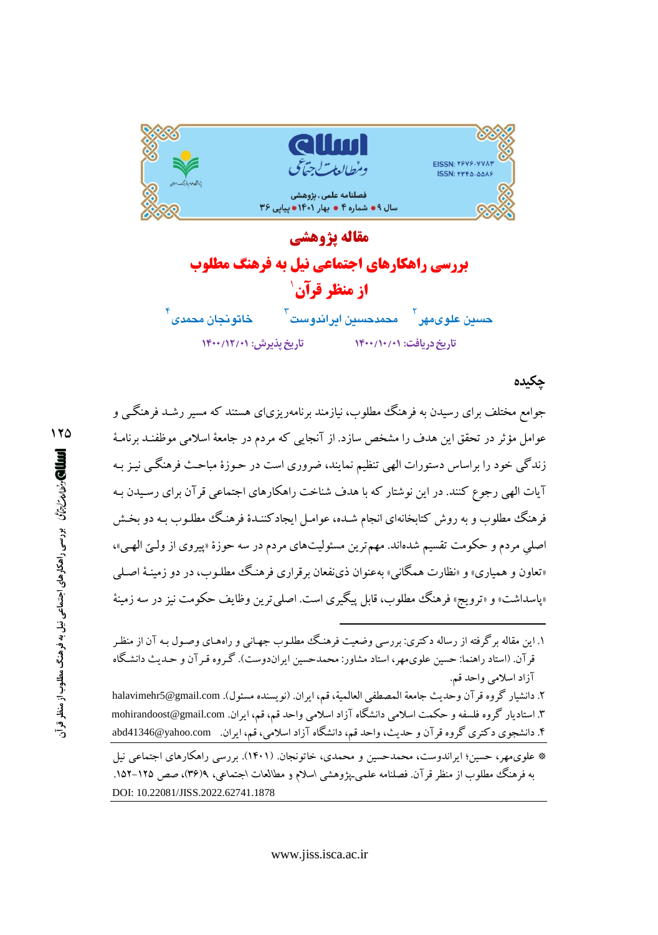

مقاله يژوهشي **بررسی راهکارهای اجتماعی نیل به فرهنگ مطلوب** از منظر قرآن 1 خاتونجان مح*مدی* <sup>'</sup> حسين علوىمهر <sup>ا</sup>لمحمدحسين ايراندوست <sup>ا</sup> تاريخ پذيرش: ١٢/١٢/٠١) تاریخ دریافت: ۱۴۰۰/۱۰/۰۱

#### جكىدە

جوامع مختلف برای رسیدن به فرهنگ مطلوب، نیازمند برنامهریزیای هستند که مسیر رشـد فرهنگـی و عوامل مؤثر در تحقق این هدف را مشخص سازد. از آنجایی که مردم در جامعهٔ اسلامی موظفنـد برنامـهٔ زندگی خود را براساس دستورات الهی تنظیم نمایند، ضروری است در حـوزهٔ مباحـث فرهنگـی نیـز بـه آیات الهی رجوع کنند. در این نوشتار که با هدف شناخت راهکارهای اجتماعی قرآن برای رسیدن بـه فرهنگ مطلوب و به روش کتابخانهای انجام شـده، عوامـل ایجادکننـدهٔ فرهنگ مطلـوب بـه دو بخـش اصلي مردم و حکومت تقسيم شدهاند. مهمترين مسئوليتهاي مردم در سه حوزهٔ «پيروي از ولـيّ الهـي»، «تعاون و همپاري» و «نظارت همگاني» بهعنوان ذيiفعان برقراري فرهنگ مطلـوب، در دو زمينـۀ اصـلـي «پاسداشت» و «ترویج» فرهنگ مطلوب، قابل پیگیری است. اصلی ترین وظایف حکومت نیز در سه زمینهٔ

۱. این مقاله برگرفته از رساله دکتری: بررسی وضعیت فرهنگ مطلـوب جهـانی و راههـای وصـول بـه آن از منظـر قرآن. (استاد راهنما: حسین علوی.مهر، استاد مشاور: محمدحسین ایراندوست). گـروه قـرآن و حـدیث دانشـگاه آزاد اسلامی واحد قم.

٢. دانشيار گروه قرآن وحديث جامعة المصطفى العالمية، قم، ايران. (نويسنده مسئول). halavimehr5@gmail.com ۳. استادیار گروه فلسفه و حکمت اسلامی دانشگاه آزاد اسلامی واحد قم، قم، ایران. mohirandoost@gmail.com ۴. دانشجوی دکتری گروه قرآن و حدیث، واحد قم، دانشگاه آزاد اسلامی، قم، ایران. abd41346@yahoo.com

\* علوی.مهر، حسین؛ ایراندوست، محمدحسین و محمدی، خاتونجان. (۱۴۰۱). بررسی راهکارهای اجتماعی نیل به فرهنگ مطلوب از منظر قرآن. فصلنامه علمی پژوهشی اسلام و مطالعات اجتماعی، ۹(۳۶)، صص ۱۲۵–۱۵۲. DOI: 10.22081/JISS.2022.62741.1878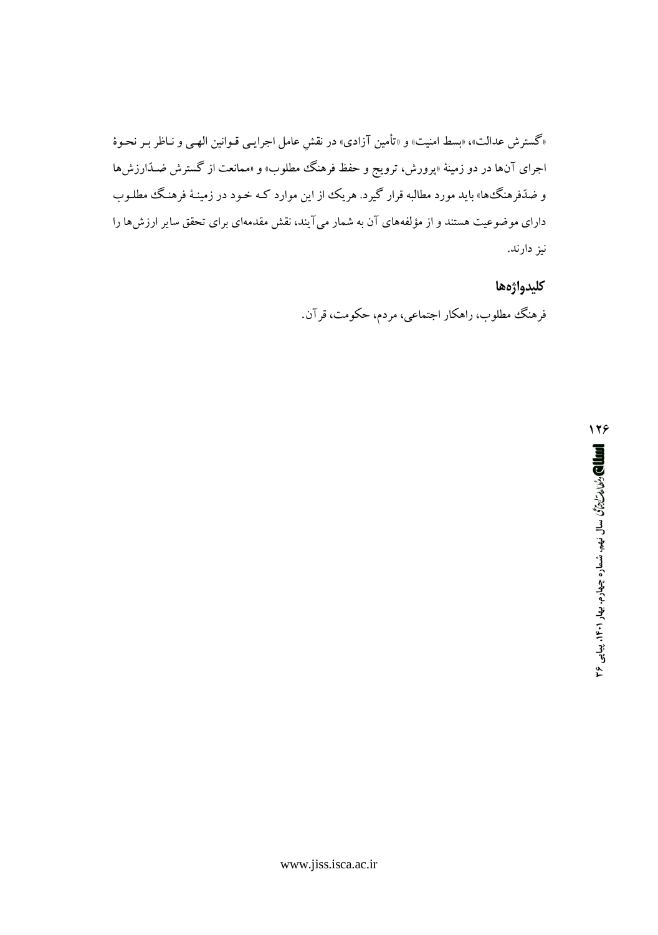«گسترش عدالت»، «بسط امنیت» و «تأمین آزادی» در نقش عامل اجرایـی قـوانین الهـی و نـاظر بـر نحـوهٔ اجرای آنها در دو زمینهٔ «پرورش، ترویج و حفظ فرهنگ مطلوب» و «ممانعت از گسترش ضـدّارزش۵ا و ضدّفرهنگءها» باید مورد مطالبه قرار گیرد. هر یک از این موارد کـه خـود در زمینـهٔ فرهنـگ مطلـوب دارای موضوعیت هستند و از مؤلفههای آن به شمار میآیند، نقش مقدمهای برای تحقق سایر ارزشها را نیز دارند.

> كليدواژهها فرهنگ مطلوب، راهکار اجتماعي، مردم، حکومت، قرآن.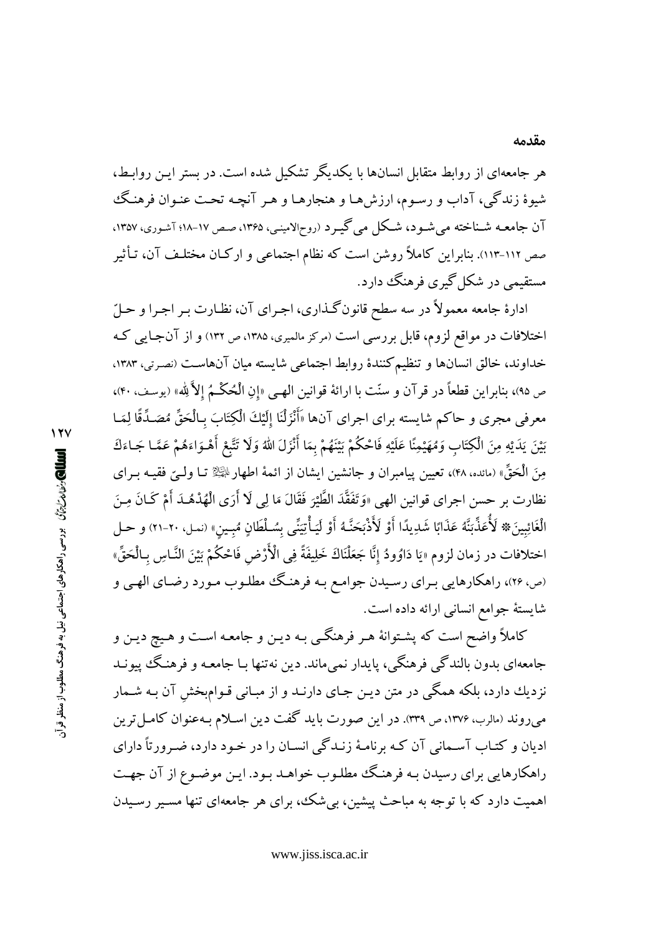هر جامعهای از روابط متقابل انسانها با یکدیگر تشکیل شده است. در بستر این روابط، شیوهٔ زندگی، آداب و رسـوم، ارزشهـا و هنجارهـا و هـر آنچـه تحـت عنـوان فرهنـگ آن جامعـه شـناخته می شـود، شـکل می گیـرد (روحالامینـی، ۱۳۶۵، صـص ۱۷-۱۸؛ آشـوری، ۱۳۵۷، صص ۱۱۲-۱۱۳). بنابراین کاملاً روشن است که نظام اجتماعی و ارکـان مختلـف آن، تـأثیر مستقیمی در شکل گیری فرهنگ دارد.

ادارهٔ جامعه معمولاً در سه سطح قانون گـذاري، اجـراي آن، نظـارت بـر اجـرا و حـلّ اختلافات در مواقع لزوم، قابل بررسی است (مرکز مالمیری، ۱۳۸۵، ص ۱۳۲) و از آن جایبی ک خداوند، خالق انسانها و تنظیم کنندهٔ روابط اجتماعی شایسته میان آنهاست (نصرتی، ۱۳۸۳. ص ٩٥)، بنابراين قطعاً در قرآن و سنّت با ارائهٔ قوانين الهـي «إنِ الْحُكْـمُ إلاَّ لِله» (يوسف، ۴۰)، معرفي مجري و حاكم شايسته براي اجراي آنها «أَنْزَلْنَا إلَيْكَ الْكِتَابَ بِـالْحَقِّ مُصَـدِّقًا لِمَـا بَيْنَ يَدَيْهِ مِنَ الْكِتَابِ وَمُهَيْمِنًا عَلَيْهِ فَاحْكُمْ بَيْنَهُمْ بِمَا أَنْزَلَ اللَّهُ وَلَا تَتَّبْع أَهْـوَاءَهُمْ عَمَّـا جَـاءَكَ مِنَ الْحَقِّ» (مائده، ۴۸)، تعيين ييامبران و جانشين ايشان از ائمهٔ اطهار الجَيْلا تـا ولـَّى فقيـه بـراي نظارت بر حسن اجراي قوانين الهي «وَتَفَقَّدَ الطَّيْرَ فَقَالَ مَا لِي لَا أَرَى الْهُدْهُـدَ أَمْ كَـانَ مِـنَ الْغَائِبِينَ\* لَأُعَذِّبَنَّهُ عَذَابًا شَدِيدًا أَوْ لَأَذْبَحَنَّـهُ أَوْ لَيَأْتِيَنِّي بِسُـلْطَانٍ مُبِـينِ» (نمل، ٢٠-٢١) و حـل اختلافات در زمان لزوم «يَا دَاوُودُ إنَّا جَعَلْنَاكَ خَلِيفَةً فِي الْأَرْضِ فَاحْكُمْ بَيْنَ النَّـاسِ بِـالْحَقِّ» (ص، ۲۶)، راهکارهایی بـرای رسـیدن جوامـع بـه فرهنـگ مطلـوب مـورد رضـای الهـی و شايستهٔ جوامع انسانی ارائه داده است.

کاملاً واضح است که پشـتوانهٔ هـر فرهنگــی بـه ديـن و جامعـه اسـت و هـيچ ديـن و جامعهاي بدون بالندگي فرهنگي، پايدار نمي،ماند. دين نهتنها بـا جامعـه و فرهنـگ پيونـد نزدیك دارد، بلكه همگی در متن دیـن جـای دارنـد و از مبـانی قـوامېخش آن بـه شـمار می روند (مالرب، ۱۳۷۶، ص ۳۳۹). در این صورت باید گفت دین اسلام بـهعنوان کامـل ترین ادیان و کتـاب آسـمانی آن کـه برنامـهٔ زنـدگی انسـان را در خـود دارد، ضـرورتاً دارای راهکارهایی برای رسیدن بـه فرهنگ مطلـوب خواهـد بـود. ایـن موضـوع از آن جهـت اهمیت دارد که با توجه به مباحث پیشین، بی شک، برای هر جامعهای تنها مسیر رسیدن

**اللطال)** و *نواله تارة گاه* در سی راهکارهای اجتماعی نیل به فرهنگ مطلوب از منظر قرآر

 $\sqrt{11}$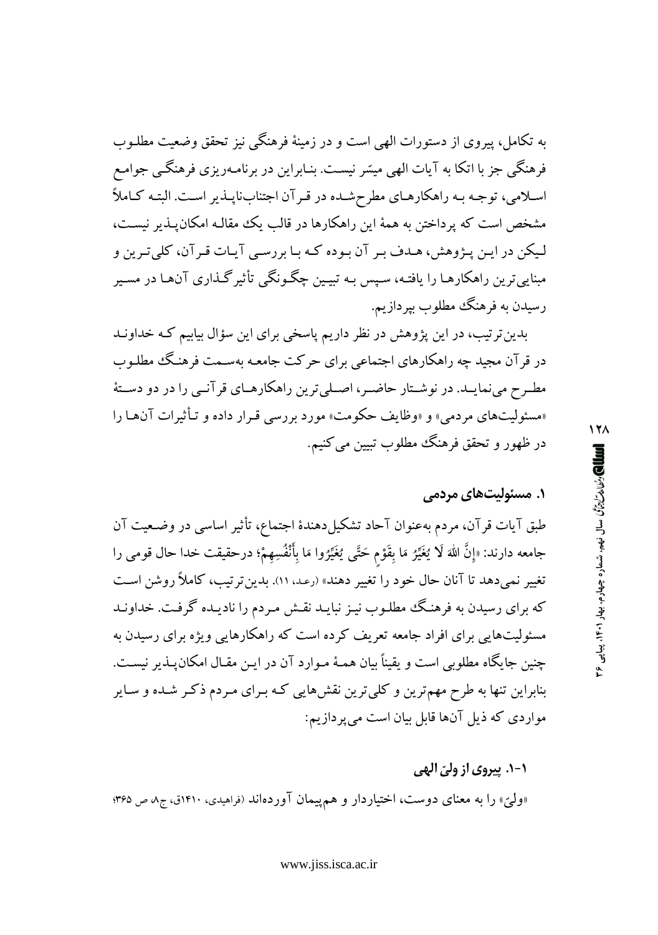به تکامل، پیروی از دستورات الهی است و در زمینهٔ فرهنگی نیز تحقق وضعیت مطلـوب فرهنگی جز با اتکا به آیات الهی میسّر نیست. بنـابراین در برنامـهریزی فرهنگـی جوامـع اسلامی، توجه به راهکارهای مطرحشده در قرآن اجتنابناپذیر است. البته کاملاً مشخص است که برداختن به همهٔ این راهکارها در قالب یک مقالـه امکان پــذیر نیســت، لیکن در این پـژوهش، هـدف بـر آن بـوده کـه بـا بررسـي آيـات قـرآن، کلي تـرين و مبناییترین راهکارهـا را یافتـه، سـیس بـه تبیـین چگـونگمی تأثیر گـذاری آنهـا در مسـیر رسیدن به فرهنگ مطلوب بپردازیم.

بدین ترتیب، در این پژوهش در نظر داریم پاسخی برای این سؤال بیابیم کـه خداونـد در قرآن مجید چه راهکارهای اجتماعی برای حرکت جامعه بهسـمت فرهنگ مطلـوب مطـرح می;نمایـد. در نوشـتار حاضـر، اصـلی ترین راهکارهـای قر آنـبی را در دو دسـتهٔ «مسئولیتهای مردمی» و «وظایف حکومت» مورد بررسی قرار داده و تـأثیرات آنهـا را در ظهور و تحقق فرهنگ مطلوب تبیین می کنیم.

## ۱. مسئولی*ت*های مردمے

طبق آیات قرآن، مردم بهعنوان آحاد تشکیلدهندهٔ اجتماع، تأثیر اساسی در وضـعیت آن جامعه دارند: «إِنَّ اللَّهَ لَا يُغَيِّرُ مَا بِقَوْمٍ حَتَّى يُغَيِّرُوا مَا بِأَنْفُسِهِمْ؛ درحقيقت خدا حال قومى را تغییر نمیدهد تا آنان حال خود را تغییر دهند» (رعد. ۱۱). بدین ترتیب، کاملاً روشن است که برای رسیدن به فرهنگ مطلوب نیز نبایـد نقـش مـردم را نادیـده گرفـت. خداونـد مسئولیتهایی برای افراد جامعه تعریف کرده است که راهکارهایی ویژه برای رسیدن به چنین جایگاه مطلوبی است و یقیناً بیان همـهٔ مـوارد آن در ایـن مقـال امکان۱یـذیر نیسـت. بنابراین تنها به طرح مهم ترین و کلیترین نقشهایی کـه بـرای مـردم ذکـر شـده و سـایر مواردي كه ذيل آنها قابل بيان است مي پردازيم:

۱-۱. پیروی از ول*ئ* الهي

«ولیّ» را به معنای دوست، اختیاردار و هم پیمان آوردهاند (فراهیدی، ۱۴۱۰ق، ج/ ص ۳۶۵؛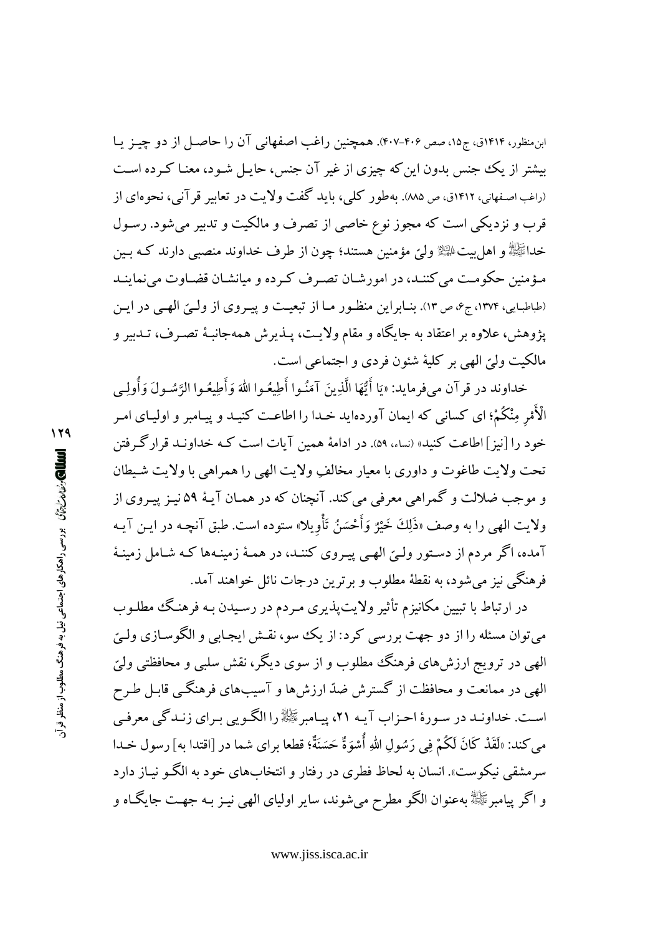ابن منظور، ۱۴۱۴ق، ج۱۵، صص ۴۰۶–۴۰۷. همچنین راغب اصفهانی آن را حاصـل از دو چیـز یـا بیشتر از یک جنس بدون این که چیزی از غیر آن جنس، حایـل شـود، معنـا کـرده اسـت (راغب اصفهانی، ۱۴۱۲ق، ص ۸۸۵). په طور کلبی، پاید گفت ولایت در تعاییر قر آنی، نجوهای از قرب و نزدیکی است که مجوز نوع خاصی از تصرف و مالکیت و تدبیر می شود. رسـول خداﷺ و اهل بيت ﷺ وليٍّ مؤمنين هستند؛ چون از طرف خداوند منصبي دارند كـه بـين مؤمنین حکومت می کننـد، در امورشـان تصـرف کـرده و میانشـان قضـاوت می;نماینـد (طباطبایی، ۱۳۷۴، ج۶، ص ۱۳). بنـابراین منظـور مـا از تبعیـت و پیـروی از ولـیّ الهـی در ایـن پژوهش، علاوه بر اعتقاد به جایگاه و مقام ولایت، پـذیرش همهجانبـهٔ تصـرف، تـدبیر و مالكيت وليِّ الهي بر كليهٔ شئون فردي و اجتماعي است.

خداوند در قر آن مي فر مايد: «يَا أَيُّهَا الَّذِينَ آمَنُوا أَطِيعُوا اللهَ وَأَطِيعُوا الرَّسُولَ وَأُولِي الْأَمْرِ مِنْكُمْ؛ ای کسانی که ایمان آوردهاید خـدا را اطاعـت کنیـد و پیـامبر و اولیـای امـر خود را [نیز ] اطاعت کنید» (نساء، ۵۹). در ادامهٔ همین آیات است کـه خداونـد قرار گـرفتن تحت ولايت طاغوت و داوري با معيار مخالفٍ ولايت الهي را همراهي با ولايت شـيطان و موجب ضلالت و گمراهي معرفي مي كند. آنچنان كه در همـان آيـۀ ٥٩ نيـز يب وي از ولايت الهي را به وصف «ذَلِكَ خَيْرٌ وَأَحْسَنُ تَأْوِيلاً» ستوده است. طبق آنچـه در ايـن آيـه آمده، اگر مردم از دستور ولَّيّ الهي پيـروي كننـد، در همـهٔ زمينـهها كـه شـامل زمينـهٔ فرهنگی نیز میشود، به نقطهٔ مطلوب و برترین درجات نائل خواهند آمد.

در ارتباط با تبیین مکانیزم تأثیر ولایت پذیری مـردم در رسـیدن بـه فرهنـگ مطلـوب مي توان مسئله را از دو جهت بررسي كرد: از يك سو، نقـش ايجـابي و الگوســازي ولــيّ الهي در ترويج ارزشهاي فرهنگ مطلوب و از سوي ديگر، نقش سلبي و محافظتي وليّ الهی در ممانعت و محافظت از گسترش ضدّ ارزشها و آسیبهای فرهنگـی قابـل طـرح است. خداونید در سورهٔ احیزاب آییه ۲۱، پیامبرﷺ را الگویی پیرای زنیدگی معرفی مى كند: «لَقَدْ كَانَ لَكُمْ فِي رَسُولِ اللهِ أُسْوَةٌ حَسَنَةٌ؛ قطعا براي شما در [اقتدا به] رسول خـدا سرمشقی نیکوست». انسان به لحاظ فطری در رفتار و انتخابهای خود به الگ و نساز دارد و اگر پيامبرﷺ به عنوان الگو مطرح مي شوند، ساير اولياي الهي نيـز بـه جهـت جايگـاه و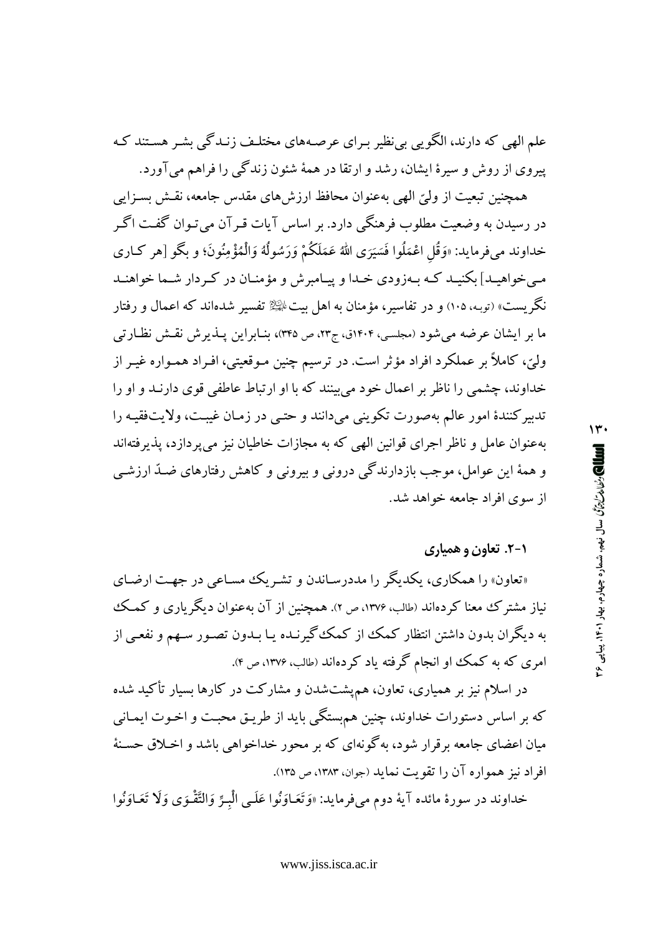علم الهی که دارند، الگویی بی نظیر بـرای عرصـههای مختلـف زنـدگی بشـر هسـتند کـه پیروی از روش و سیرهٔ ایشان، رشد و ارتقا در همهٔ شئون زندگی را فراهم می آورد.

همچنین تبعیت از ولیّ الهی بهعنوان محافظ ارزش های مقدس جامعه، نقـش بسـزایی در رسیدن به وضعیت مطلوب فرهنگی دارد. بر اساس آیات قبر آن می تبوان گفت اگیر خداوند مىفرمايد: «وَقُل اعْمَلُوا فَسَيَرَى اللهُ عَمَلَكُمْ وَرَسُولُهُ وَالْمُؤْمِنُونَ؛ و بِكُو [هر كــارى مبیخواهیـد] بکنیـد کـه بـهزودی خـدا و پیـامبرش و مؤمنـان در کـردار شـما خواهنـد نگریست» (توبـه، ۱۰۵) و در تفاسیر، مؤمنان به اهل بیت $\mathbb{R}$  تفسیر شدهاند که اعمال و رفتار ما بر ایشان عرضه می شود (مجلسی، ۱۴۰۴ق، ج۲۳، ص ۳۴۵)، بنـابراین پــذیرش نقــش نظـارتی وليّ، كاملاً بر عملكرد افراد مؤثر است. در ترسيم چنين مـوقعيتي، افـراد همـواره غيـر از خداوند، چشمی را ناظر بر اعمال خود می بینند که با او ارتباط عاطفی قوی دارنـد و او را تدبیر کنندهٔ امور عالم بهصورت تکوینی میدانند و حتبی در زمـان غیبـت، ولایتفقیـه را بهعنوان عامل و ناظر اجرای قوانین الهی که به مجازات خاطیان نیز می پردازد، پذیرفتهاند و همهٔ این عوامل، موجب بازدارندگی درونی و بیرونی و کاهش رفتارهای ضـدّ ارزشـی از سوی افراد جامعه خواهد شد.

# ۰۱-۲. تعاون و همیاری

«تعاون» را همکاری، یکدیگر را مددرسـاندن و تشـریک مسـاعی در جهـت ارضـای نیاز مشترک معنا کردهاند (طالب، ۱۳۷۶، ص ۲). همچنین از آن بهعنوان دیگریاری و کمک به دیگران بدون داشتن انتظار کمک از کمک گیرنـده یـا بـدون تصـور سـهم و نفعـی از امری که به کمک او انجام گرفته یاد کردهاند (طالب، ۱۳۷۶، ص ۴).

در اسلام نیز بر همیاری، تعاون، همپشتشدن و مشارکت در کارها بسیار تأکید شده که بر اساس دستورات خداوند، چنین همهستگی باید از طریـق محبـت و اخـوت ایمـانبی میان اعضای جامعه برقرار شود، به گونهای که بر محور خداخواهی باشد و اخـلاق حسـنهٔ افراد نیز همواره آن را تقویت نماید (جوان، ۱۳۸۳، ص ۱۳۵).

خداوند در سورهٔ مائده آيهٔ دوم ميفرمايد: «وَتَعَـاوَنُوا عَلَـى الْبِـرِّ وَالتَّقْـوَى وَلَا تَعَـاوَنُوا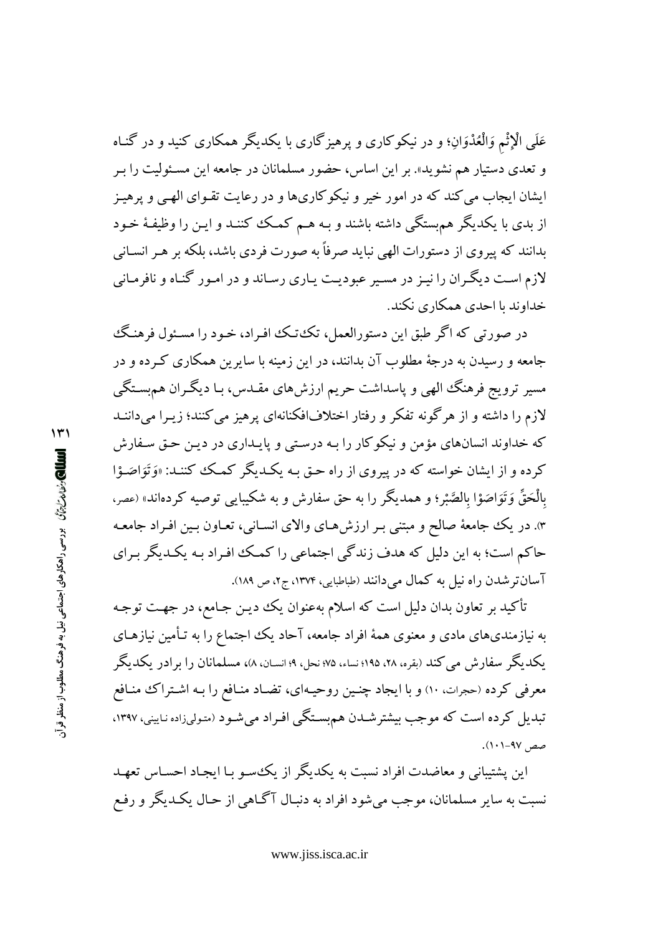عَلَمِی الْإِثْمَ وَالْعُدْوَانِ؛ و در نیکوکاری و پرهیزگاری با یکدیگر همکاری کنید و در گنـاه و تعدی دستیار هم نشوید». بر این اساس، حضور مسلمانان در جامعه این مسـئولیت را بـر ایشان ایجاب می کند که در امور خیر و نیکوکاریها و در رعایت تقـوای الهـبی و پرهیـز از بدی با یکدیگر هم بستگی داشته باشند و بـه هـم کمـک کننـد و ایـن را وظیفـهٔ خـود بدانند که پیروی از دستورات الهی نباید صرفاً به صورت فردی باشد، بلکه بر هـر انسـانی لازم است دیگران را نیـز در مسـیر عبودیـت یـاری رسـاند و در امـور گنـاه و نافرمـانی خداوند با احدی همکاری نکند.

در صورتی که اگر طبق این دستورالعمل، تک±تک افـراد، خـود را مسـئول فرهنـگ جامعه و رسیدن به درجهٔ مطلوب آن بدانند، در این زمینه با سایرین همکاری کـرده و در مسیر ترویج فرهنگ الهی و پاسداشت حریم ارزشهای مقـدس، بـا دیگـران همهسـتگـی لازم را داشته و از هرگونه تفکر و رفتار اختلافافکنانهای پرهیز می کنند؛ زیـرا میداننــد که خداوند انسانهای مؤمن و نیکوکار را بـه درسـتی و پایـداری در دیـن حـق سـفارش کرده و از ایشان خواسته که در پیروی از راه حـق بـه یکـدیگر کمـک کننـد: «وَتَوَاصَـوْا بِالْحَقِّ وَتَوَاصَوْا بِالصَّبْرِ؛ و همديگر را به حق سفارش و به شكيبايي توصيه كردهاند» (عصر، ۳. در یک جامعهٔ صالح و مبتنی بـر ارزش هـای والای انسـانی، تعـاون بـین افـراد جامعـه حاکم است؛ به این دلیل که هدف زندگی اجتماعی را کمک افراد بـه یکـدیگر بـرای آسانتر شدن راه نیل به کمال میدانند (طباطبایی، ۱۳۷۴، ج۲، ص ۱۸۹).

تأکید بر تعاون بدان دلیل است که اسلام بهعنوان یک دیـن جـامع، در جهـت توجـه به نیازمندیهای مادی و معنوی همهٔ افراد جامعه، آحاد یک اجتماع را به تـأمین نیازهـای یکدیگر سفارش می کند (بقره، ۲۸، ۱۹۵؛ نساء، ۷۵؛ نحل، ۹؛ انسـان، ۸)، مسلمانان را بر ادر یکدیگر معرفی کرده (حجرات ١٠) و با ایجاد چنین روحیهای، تضاد منافع را بـه اشـتراک منـافع تبدیل کرده است که موجب بیشترشـدن هم بسـتگی افـراد میشـود (متولیزاده نـایینی، ۱۳۹۷، صص ۹۷–۱۰۱).

این پشتیبانی و معاضدت افراد نسبت به یکدیگر از یک سو بـا ایجـاد احسـاس تعهـد نسبت به سایر مسلمانان، موجب می شود افراد به دنبـال آگـاهی از حـال یکـدیگر و رفـع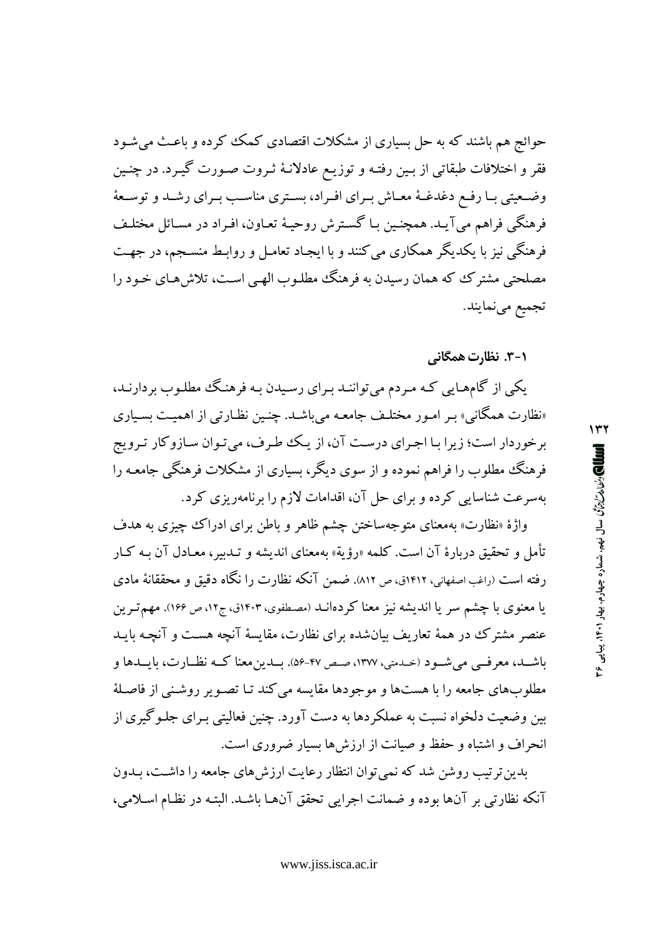حوائج هم باشند که به حل بسیاری از مشکلات اقتصادی کمک کر ده و باعث می شـود فقر و اختلافات طبقاتی از بـین رفتـه و توزیـع عادلانـهٔ ثـروت صـورت گیـرد. در چنـین وضعیتی بـا رفـع دغدغـهٔ معـاش بـرای افـراد، بسـتری مناسـب بـرای رشـد و توسـعهٔ فرهنگي فراهم مي آيـد. همچنـين بـا گسـترش روحيـهٔ تعـاون، افـراد در مسـائل مختلـف فرهنگی نیز با یکدیگر همکاری می کنند و با ایجـاد تعامـل و روابـط منسـجم، در جهـت مصلحتی مشترک که همان رسیدن به فرهنگ مطلـوب الهـی اسـت، تلاش۵هـای خـود را تجميع مينمايند.

۰۱–۳. نظارت همگان*ی* 

یکی از گامهایی که مردم می توانند برای رسیدن به فرهنگ مطلوب بردارند، «نظارت همگانی» بـر امـور مختلـف جامعـه میباشـد. چنـین نظـارتی از اهمیـت بسـیاری برخوردار است؛ زیرا بـا اجـرای درسـت آن، از یـک طـرف، می تـوان سـازوکار تـرویج فرهنگ مطلوب را فراهم نموده و از سوی دیگر، بسیاری از مشکلات فرهنگی جامعه را بهسرعت شناسایی کرده و برای حل آن، اقدامات لازم را برنامهریزی کرد.

واژهٔ «نظارت» بهمعنای متوجهساختن چشم ظاهر و باطن برای ادراک چیزی به هدف تأمل و تحقیق دربارهٔ آن است. کلمه «رؤیة» بهمعنای اندیشه و تـدبیر، معـادل آن بـه کـار رفته است (راغب اصفهانی، ۱۴۱۲ق، ص ۸۱۲). ضمن آنکه نظارت را نگاه دقیق و محققانهٔ مادی یا معنوی با چشم سر یا اندیشه نیز معنا کردهانــد (مصطفوی، ۱۴۰۳ق، ج۱۲، ص ۱۶۶). مهم تـرین عنصر مشترک در همهٔ تعاریف بیانشده برای نظارت، مقایسهٔ آنچه هست و آنچـه بایـد باشــد، معرفــي مي شــود (حـدمتي، ١٣٧٧، صـص ۴۷-۵۶). بــدين معنا كــه نظــارت، بايــدها و مطلوبهاي جامعه را با هستها و موجودها مقايسه مي كند تـا تصـوير روشـني از فاصـلهٔ بین وضعیت دلخواه نسبت به عملکردها به دست آورد. چنین فعالیتی بـرای جلـوگیری از انحراف و اشتباه و حفظ و صیانت از ارزشها بسیار ضروری است.

بدین ترتیب روشن شد که نمی توان انتظار رعایت ارزش های جامعه را داشت، بـدون آنكه نظارتي بر آنها بوده و ضمانت اجرايي تحقق آنهـا باشـد. البتـه در نظـام اسـلامي،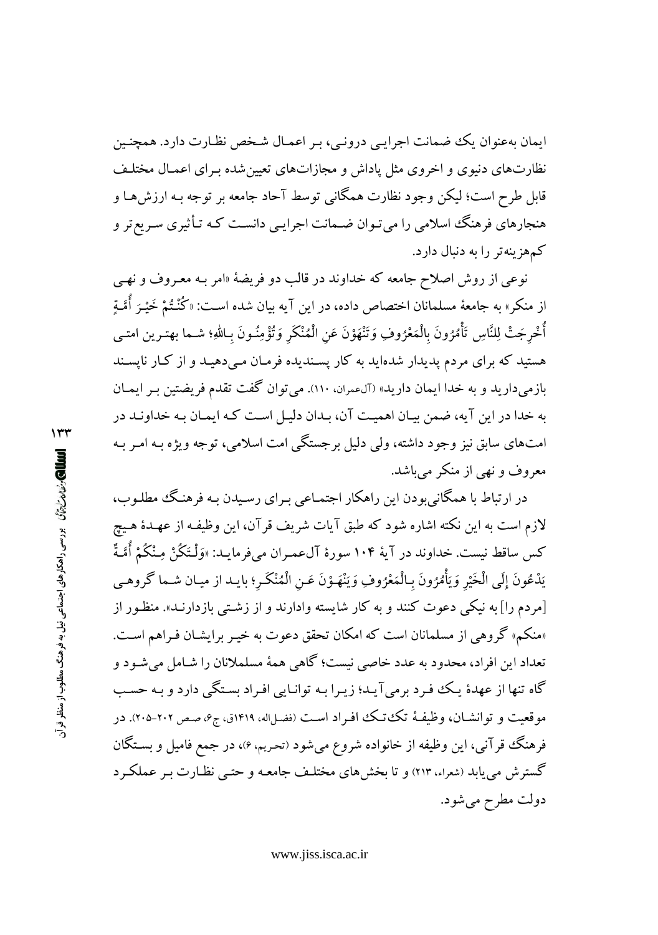ایمان بهعنوان یک ضمانت اجرایبی درونبی، بـر اعمـال شـخص نظـارت دارد. همچنـین نظارتهای دنبوی و اخروی مثل یاداش و مجازاتهای تعیین شده بـرای اعمـال مختلـف قابل طرح است؛ ليكن وجود نظارت همگاني توسط آحاد جامعه بر توجه بـه ارزش هـا و هنجارهای فرهنگ اسلامی را میتوان ضـمانت اجرایـی دانسـت کـه تـأثیری سـریع تر و کمهزینهتر را به دنبال دارد.

نوعی از روش اصلاح جامعه که خداوند در قالب دو فریضهٔ «امر بـه معـروف و نهـی از منکر» به جامعهٔ مسلمانان اختصاص داده، در این آیه بیان شده اسـت: «کُنْـتُمْ خَيْـرَ أُمَّـةِ أُخْرِجَتْ لِلنَّاسِ تَأْمُرُونَ بِالْمَعْرُوفِ وَتَنْهَوْنَ عَنِ الْمُنْكَرِ وَتُؤْمِنُونَ بِـاللهِ؛ شـما بهتـرين امتـي هستید که برای مردم پدیدار شدهاید به کار پسندیده فرمـان مـیدهیـد و از کـار ناپسـند بازمي داريد و به خدا ايمان داريد» (آلءمران، ١١٠). مي توان گفت تقدم فريضتين بـر ايمـان به خدا در این آیه، ضمن بیان اهمیت آن، بـدان دلیـل اسـت کـه ایمـان بـه خداونـد در امتهای سابق نیز وجود داشته، ولي دليل برجستگي امت اسلامي، توجه ويژه بـه امـر بـه معروف و نهي از منكر مي باشد.

در ارتباط با همگانی بودن این راهکار اجتمـاعی بـرای رسـیدن بـه فرهنـگ مطلـوب، لازم است به این نکته اشاره شود که طبق آیات شریف قرآن، این وظیفـه از عهـدهٔ هـیچ كس ساقط نيست. خداوند در آية ۱۰۴ سورة آلءمـران ميفرمايـد: «وَلْـتَكُنْ مِـنْكُمْ أُمَّـةٌ يَدْعُونَ إِلَى الْخَيْرِ وَيَأْمُرُونَ بِالْمَعْرُوفِ وَيَنْهَـوْنَ عَـنِ الْمُنْكَـرِ؛ بايـد از ميـان شـما كروهـي [مردم را] به نیکی دعوت کنند و به کار شایسته وادارند و از زشتی بازدارنـد». منظـور از «منکم» گروهی از مسلمانان است که امکان تحقق دعوت به خیـر برایشـان فـراهم اسـت. تعداد اين افراد، محدود به عدد خاصي نيست؛ گاهي همهٔ مسلملانان را شـامل مي شـود و گاه تنها از عهدهٔ یک فرد برمیآید؛ زیرا به توانایی افراد بستگی دارد و به حسب موقعیت و توانشـان، وظیفـهٔ تکـُتـک افـراد اسـت (فضـلاله، ١٤١٩ق، ج۶، صـص ٢٠٢-٢٠٥). در فرهنگ قرآنبي، اين وظيفه از خانواده شروع مي شود (تحريم، ۶)، در جمع فاميل و بسـتگان گسترش می یابد (شعراء، ٢١٣) و تا بخش های مختلـف جامعـه و حتـبی نظـارت بـر عملكـرد دولت مطرح مي شود.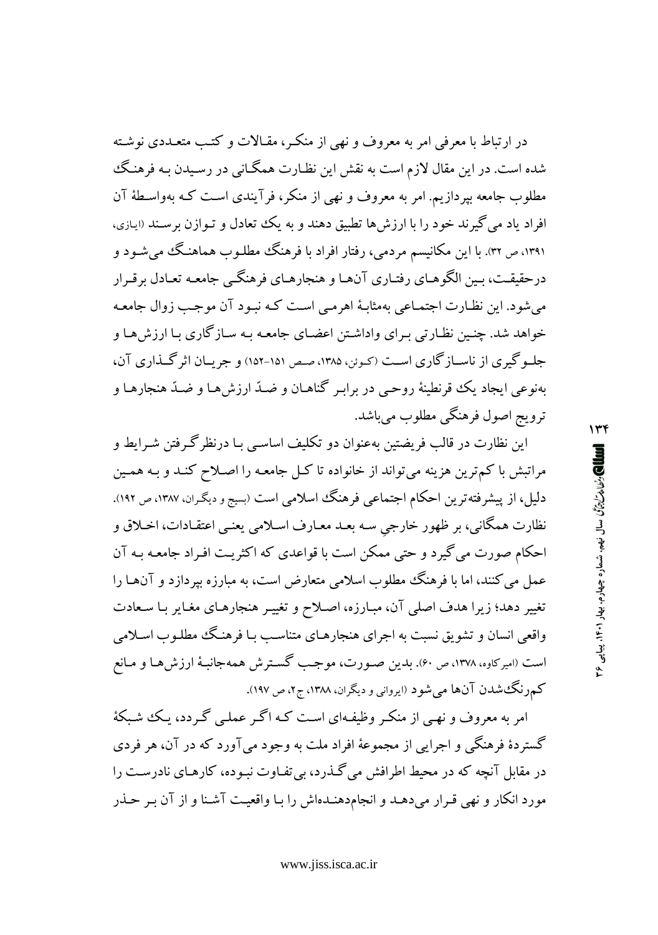در ارتباط با معرفی امر به معروف و نهی از منکر، مقـالات و کتـب متعـددی نوشـته شده است. در این مقال لازم است به نقش این نظـارت همگـانی در رسـیدن بـه فرهنـگ مطلوب جامعه بپردازیم. امر به معروف و نهی از منکر، فرآیندی است کـه بهواسـطهٔ آن افراد یاد می گیرند خود را با ارزش ها تطبیق دهند و به یک تعادل و تبوازن برسند (ایازی، ۱۳۹۱، ص ۳۲. با این مکانیسم مردمی، رفتار افراد با فرهنگ مطلـوب هماهنـگ میشـود و درحقیقت، بـین الگوهـاي رفتـاري آنهـا و هنجارهـاي فرهنگـي جامعـه تعـادل برقـرار می شود. این نظـارت اجتمـاعی بهمثابـهٔ اهرمـی اسـت کـه نبـود آن موجـب زوال جامعـه خواهد شد. چنـین نظـارتی بـرای واداشـتن اعضـای جامعـه بـه سـازگاری بـا ارزش هـا و جلـوگیری از ناسـازگاری اسـت (کـوئن، ۱۳۸۵، صـص ۱۵۱-۱۵۲) و جریــان اثر گــذاری آن، بهنوعی ایجاد یک قونطینهٔ روحبی در برابر گناهـان و ضـدّ ارزش هـا و ضـدّ هنجارهـا و ترويج اصول فرهنگي مطلوب مي باشد.

این نظارت در قالب فریضتین بهعنوان دو تکلیف اساسبی بـا درنظر گـرفتن شـرایط و مراتبش با کم ترین هزینه می تواند از خانواده تا کـل جامعـه را اصـلاح کنـد و بـه همـین دلیل، از پیشرفته ترین احکام اجتماعی فرهنگ اسلامی است (بسیج و دیگران، ۱۳۸۷، ص ۱۹۲). نظارت همگاني، بر ظهور خارجي سـه بعـد معـارف اسـلامي يعنـي اعتقـادات، اخـلاق و احکام صورت می گیرد و حتی ممکن است با قواعدی که اکثریت افـراد جامعـه بـه آن عمل می کنند، اما با فرهنگ مطلوب اسلامی متعارض است، به مبارزه بپردازد و آن ها را تغییر دهد؛ زیرا هدف اصلی آن، مبارزه، اصلاح و تغییر هنجارهای مغایر با سعادت واقعی انسان و تشویق نسبت به اجرای هنجارهـای متناسـب بـا فرهنـگ مطلـوب اسـلامی است (اميركاوه، ١٣٧٨، ص ٤٠). بدين صـورت، موجـب گسـترش هـمهجانبـهٔ ارزش هـا و مـانع کمرزنگ شدن آنها می شود (ایروانی و دیگران، ۱۳۸۸، ج۲، ص ۱۹۷).

امر به معروف و نهـي از منكـر وظيفـهاي اسـت كـه اگـر عملـي گـردد، يـك شـبكهٔ گستردهٔ فرهنگی و اجرایی از مجموعهٔ افراد ملت به وجود می آورد که در آن، هر فردی در مقابل آنچه که در محیط اطرافش می گذرد، بی تفـاوت نبـوده، کارهـای نادرسـت را مورد انکار و نهی قرار می دهـد و انجام۱هش را بـا واقعیـت آشـنا و از آن بـر حـذر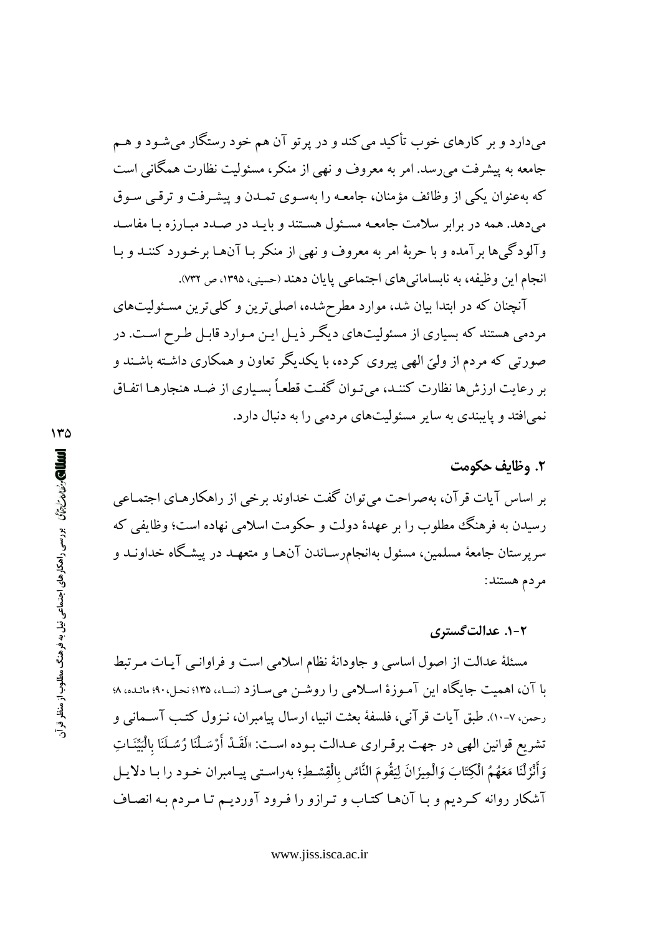می،دارد و بر کارهای خوب تأکید می کند و در پرتو آن هم خود رستگار میشـود و هـم جامعه به پیشرفت می رسد. امر به معروف و نهی از منکر، مسئولیت نظارت همگانی است که بهعنوان یکی از وظائف مؤمنان، جامعـه را بهسـوی تمـدن و پیشـرفت و ترقـی سـوق می دهد. همه در برابر سلامت جامعـه مسـئول هسـتند و بايـد در صـدد مـارزه بـا مفاسـد وآلودگی ها برآمده و با حربهٔ امر به معروف و نهی از منکر بـا آنهـا برخـورد کننـد و بـا انجام این وظیفه، به نابسامانیهای اجتماعی پایان دهند (حسینی، ۱۳۹۵، ص ۷۳۲).

آنچنان که در ابتدا بیان شد، موارد مطرحشده، اصلی ترین و کلی ترین مسئولیتهای مردمی هستند که بسیاری از مسئولیتهای دیگر ذیـل ایـن مـوارد قابـل طـرح اسـت. در صورتی که مردم از ولیّ الهی پیروی کرده، با یکدیگر تعاون و همکاری داشته باشـند و بر رعايت ارزش ها نظارت كننـد، مي تـوان گفـت قطعـاً بسـياري از ضـد هنجارهـا اتفـاق نمی افتد و پایبندی به سایر مسئولیتهای مردمی را به دنبال دارد.

### ٢. وظايف حكومت

بر اساس آیات قرآن، بهصراحت می توان گفت خداوند برخی از راهکارهـای اجتمـاعی رسیدن به فرهنگ مطلوب را بر عهدهٔ دولت و حکومت اسلامی نهاده است؛ وظایفی که سرپرستان جامعهٔ مسلمین، مسئول بهانجام(سـاندن آنهـا و متعهـد در پیشـگاه خداونـد و مردم هستند:

#### ۰۲-۱. عدالت گستری

مسئلهٔ عدالت از اصول اساسی و جاودانهٔ نظام اسلامی است و فراوانـی آیـات مـرتبط با آن، اهمیت جایگاه این آمـوزهٔ اسـلامی را روشـن میسـازد (نسـاء، ۱۳۵؛ نحـل،۹۰؛ مائـده، ۸؛ رحمن، ٧-١٠). طبق آيات قر آني، فلسفهٔ بعثت انبيا، ارسال پيامبران، نـزول كتـب آسـماني و تشريع قوانين الهي در جهت برقـراري عــدالت بــوده اســت: «لَقَــدْ أَرْسَــلْنَا رُسُــلَنَا بِالْبَيِّنَــاتِ وَأَنْزَلْنَا مَعَهُمُ الْكِتَابَ وَالْمِيزَانَ لِيَقُومَ النَّاسُ بِالْقِسْطِ؛ بەراسـتى پيـامبران خـود را بـا دلايـل آشکار روانه کردیم و بـا آنهـا کتـاب و تـرازو را فـرود آوردیـم تـا مـردم بـه انصـاف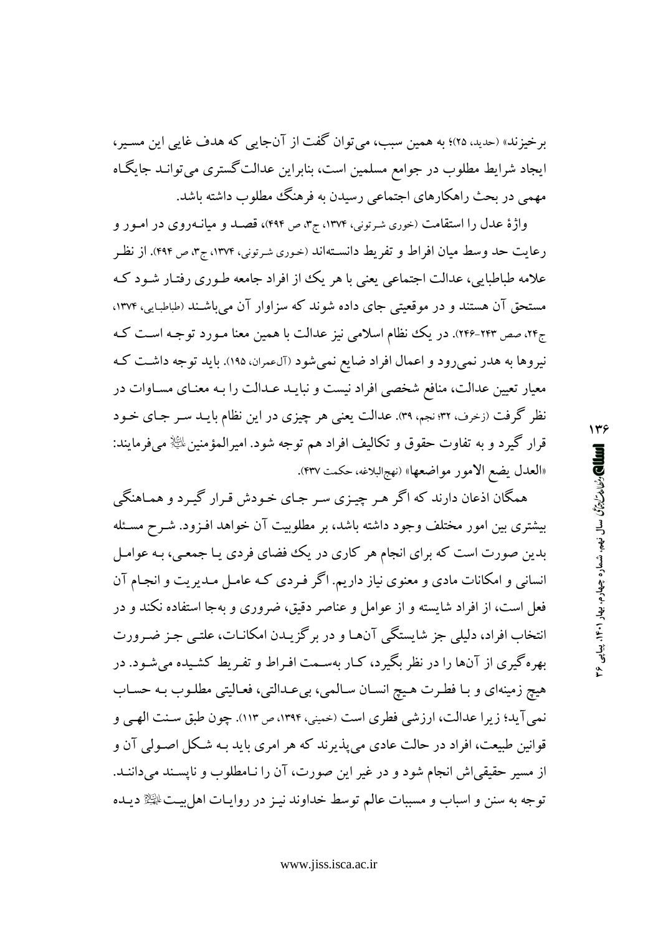برخیزند» (حدید، ۲۵)؛ به همین سبب، می توان گفت از آنجایی که هدف غایی این مسـبر، ایجاد شرایط مطلوب در جوامع مسلمین است، بنابراین عدالت گستری می توانـد جایگـاه مهمی در بحث راهکارهای اجتماعی رسیدن به فرهنگ مطلوب داشته باشد.

واژهٔ عدل را استقامت (خوری شرتونی، ۱۳۷۴، ج۳، ص ۴۹۴)، قصـد و میانـهروی در امـور و رعايت حد وسط ميان افراط و تفريط دانسـتهاند (خوري شـرتوني، ١٣٧۴، ج٣، ص ۴۹۴). از نظـر علامه طباطبایی، عدالت اجتماعی یعنی با هر یک از افراد جامعه طـوری رفتـار شـود کـه مستحق آن هستند و در موقعیتی جای داده شوند که سزاوار آن میباشند (طباطبایی، ۱۳۷۴. ج۲۴، صص ۲۴۳-۲۴۳). در یک نظام اسلامی نیز عدالت با همین معنا مـورد توجـه اسـت کـه نیروها به هدر نمیرود و اعمال افراد ضایع نمیشود (آلءمران، ۱۹۵). باید توجه داشت که معیار تعیین عدالت، منافع شخصی افراد نیست و نبایـد عـدالت را بـه معنـای مسـاوات در نظر گرفت (زخرف، ۳۲:نجم، ۳۹). عدالت یعنی هر چیزی در این نظام بایـد سـر جـای خـود قرار گیرد و به تفاوت حقوق و تکالیف افراد هم توجه شود. امیرالمؤمنین $\mathbb{P}$  میفرمایند: «العدل يضع الامور مواضعها» (نهج البلاغه، حكمت ۴۳۷).

همگان اذعان دارند که اگر هـر چيـزي سـر جـاي خـودش قـرار گيـرد و همـاهنگي بیشتری بین امور مختلف وجود داشته باشد، بر مطلوبیت آن خواهد افـزود. شـرح مسـئله بدین صورت است که برای انجام هر کاری در یک فضای فردی یـا جمعـی، بـه عوامـل انسانی و امکانات مادی و معنوی نیاز داریم. اگر فـردی کـه عامـل مـدیریت و انجـام آن فعل است، از افراد شایسته و از عوامل و عناصر دقیق، ضروری و بهجا استفاده نکند و در انتخاب افراد، دلیلی جز شایستگی آنهـا و در برگزیـدن امکانـات، علتـی جـز ضـرورت بهره گیری از آنها را در نظر بگیرد، کـار بهسـمت افـراط و تفـریط کشـیده می شـود. در هيچ زمينهاي و بـا فطـرت هـيچ انسـان سـالمي، بي عـدالتي، فعـاليتي مطلـوب بـه حسـاب نمي آيد؛ زيرا عدالت، ارزشي فطري است (حميني، ١٣٩٤، ص ١١٣). چون طبق سـنت الهـي و قوانین طبیعت، افراد در حالت عادی می پذیرند که هر امری باید بـه شـکل اصـولـی آن و از مسیر حقیقی اش انجام شود و در غیر این صورت، آن را نـامطلوب و ناپسـند میداننـد. توجه به سنن و اسباب و مسببات عالم توسط خداوند نیـز در روایـات اهل بیـتﷺ دیـده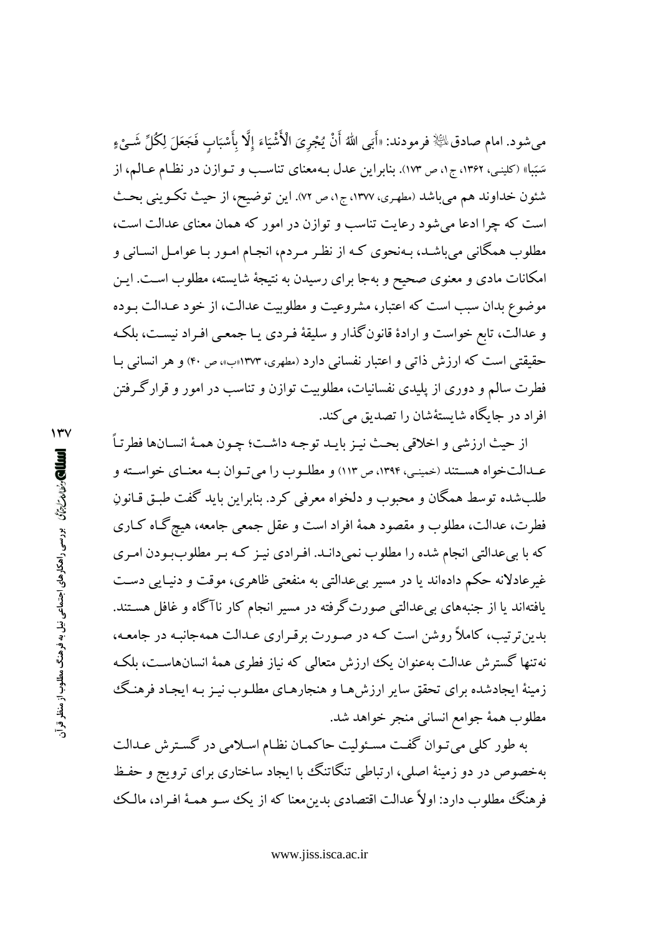مي شود. امام صادق $\mathbb{R}^2$  فرمودند: «أَبَى اللهُ أَنْ يُجْرِيَ الْأَشْيَاءَ إِلَّا بِأَسْبَابٍ فَجَعَلَ لِكُلِّ شَـيْءٍ سَبَباً» (کلینبی، ۱۳۶۲، ج۱، ص ۱۷۳). بنابراین عدل بـهمعنای تناسـب و تـوازن در نظـام عـالـم، از شئون خداوند هم مي باشد (مطهري، ١٣٧٧، ج١، ص ٧٢). اين توضيح، از حيث تكـويني بحـث است که چرا ادعا می شود رعایت تناسب و توازن در امور که همان معنای عدالت است، مطلوب همگانی می باشـد، بـهنحوی کـه از نظـر مـردم، انجـام امـور بـا عوامـل انسـانی و امکانات مادی و معنوی صحیح و بهجا برای رسیدن به نتیجهٔ شایسته، مطلوب است. ایـن موضوع بدان سبب است که اعتبار، مشروعیت و مطلوبیت عدالت، از خود عـدالت بـوده و عدالت، تابع خواست و ارادهٔ قانونگذار و سلیقهٔ فـردی یـا جمعـی افـراد نیسـت، بلکـه حقیقتی است که ارزش ذاتی و اعتبار نفسانی دارد (مطهری، ۱۳۷۳(ب»، ص ۴۰) و هر انسانی بـا فطرت سالم و دوری از پلیدی نفسانیات، مطلوبیت توازن و تناسب در امور و قرارگرفتن افراد در جایگاه شایستهٔشان را تصدیق می کند.

از حيث ارزشي و اخلاقي بحث نيـز بايـد توجـه داشـت؛ چـون همـهٔ انسـانها فطرتـاً عـدالتخواه هسـتند (خمينـي، ١٣٩۴، ص ١١٣) و مطلـوب را مي تـوان بـه معنـاي خواسـته و طلب شده توسط همگان و محبوب و دلخواه معرفی کرد. بنابراین باید گفت طبق قیانون فطرت، عدالت، مطلوب و مقصود همهٔ افراد است و عقل جمعی جامعه، هیچ گـاه كـاری که با بیعدالتی انجام شده را مطلوب نمیدانـد. افـرادی نیـز کـه بـر مطلوببودن امـری غیرعادلانه حکم دادهاند یا در مسیر بیعدالتی به منفعتی ظاهری، موقت و دنیـایی دسـت یافتهاند یا از جنبههای بی عدالتی صورت گرفته در مسیر انجام کار ناآگاه و غافل هستند. بدین ترتیب، کاملاً روشن است که در صورت برقراری عـدالت همهجانبـه در جامعـه، نهتنها گسترش عدالت بهعنوان یک ارزش متعالمی که نیاز فطری همهٔ انسانهاست، بلکه زمینهٔ ایجادشده برای تحقق سایر ارزش هـا و هنجارهـای مطلـوب نیـز بـه ایجـاد فرهنـگ مطلوب همهٔ جوامع انسانی منجر خواهد شد.

به طور کلی می تـوان گفـت مسـئولیت حاکمـان نظـام اسـلامی در گسـترش عـدالت بهخصوص در دو زمینهٔ اصلی، ارتباطی تنگاتنگ با ایجاد ساختاری برای ترویج و حفظ فرهنگ مطلوب دارد: اولاً عدالت اقتصادي بدين معنا كه از يك سـو همـهٔ افـراد، مالـك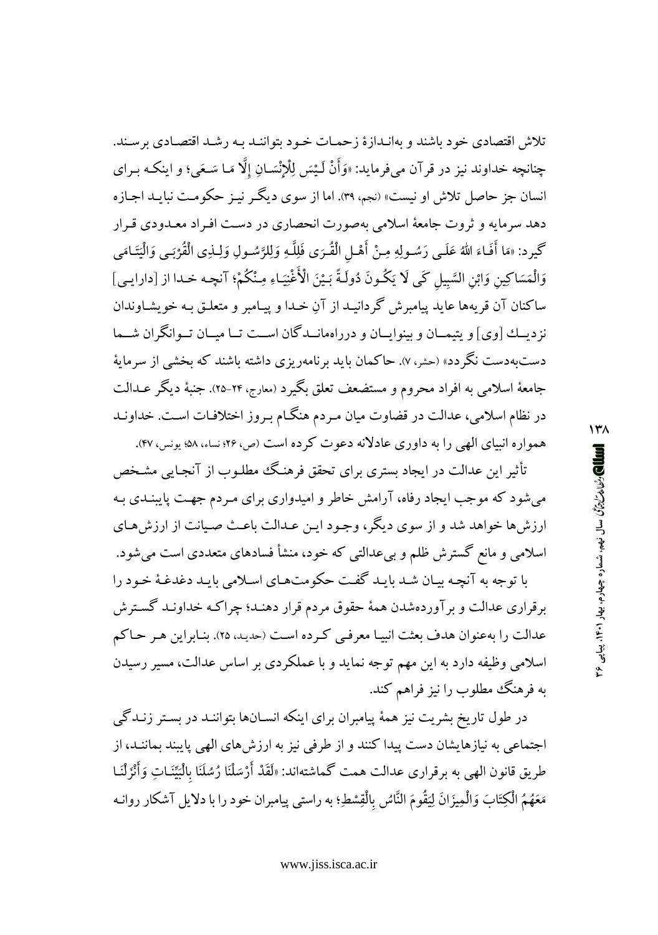تلاش اقتصادي خود باشند و بهانـدازهٔ زحمـات خـود بتواننـد بـه رشـد اقتصـادي برسـند. چنانچه خداوند نيز در قر آن ميفر مايد: «وَأَنْ لَـيْسَ لِلْإِنْسَـانِ إِلَّا مَـا سَـعَى؛ و اينكـه بـراي انسان جز حاصل تلاش او نیست» (نجم، ۳۹). اما از سوی دیگر نیـز حکومـت نبایـد اجـازه دهد سرمایه و ثروت جامعهٔ اسلامی بهصورت انحصاری در دست افیراد معبدودی قیرار گيرد: «مَا أَفَـاءَ اللهُ عَلَـى رَسُـولِهِ مِـنْ أَهْـل الْقُـرَى فَلِلَّـهِ وَلِلرَّسُـولِ وَلِــٰذِى الْقُرْبَـى وَالْيَتَـامَى وَالْمَسَاكِينِ وَابْنِ السَّبِيلِ كَبِي لَا يَكُونَ دُولَـةً بَـيْنَ الْأُغْنِيَـاءِ مِـنْكُمْ؛ آنچـه خـدا از [دارايـي] ساكنان آن قريهها عايد پيامبرش گردانيـد از آنِ خـدا و پيـامبر و متعلـق بـه خويشـاوندان نز دیــك [وی] و پتیمــان و بینوایــان و درراهمانــدگان اســت تــا میــان تــوانگران شــما دستبهدست نگردد» (حشر، ۷). حاکمان باید برنامهریزی داشته باشند که بخشی از سرمایهٔ جامعهٔ اسلامی به افراد محروم و مستضعف تعلق بگیرد (معارج، ۲۴-۲۵). جنبهٔ دیگر عــدالت در نظام اسلامی، عدالت در قضاوت میان مـردم هنگـام بـروز اختلافـات اسـت. خداونـد همواره انسای الهی را به داوری عادلانه دعوت کرده است (ص، ۲۶؛ نساء، ۵۸؛ پونس، ۴۷).

تأثیر این عدالت در ایجاد بستری برای تحقق فرهنگ مطلـوب از آنجـایی مشـخص می شود که موجب ایجاد رفاه، آرامش خاطر و امیدواری برای مـردم جهـت پایبنـدی بـه ارزش ها خواهد شد و از سوی دیگر، وجـود ایـن عـدالت باعـث صـیانت از ارزش هـای اسلامی و مانع گسترش ظلم و بی عدالتی که خود، منشأ فسادهای متعددی است میشود.

با توجه به آنچه بیان شد بایـد گفت حکومتهـای اسـلامی بایـد دغدغـهٔ خـود را برقراری عدالت و بر آوردهشدن همهٔ حقوق مردم قرار دهنـد؛ چراکـه خداونـد گسـترش عدالت را به عنوان هدف بعثت انبيـا معرفـي كـرده اسـت (حديـد، ٢٥). بنـابراين هـر حـاكم اسلامی وظیفه دارد به این مهم توجه نماید و با عملکردی بر اساس عدالت، مسیر رسیدن به فرهنگ مطلوب را نیز فراهم کند.

در طول تاریخ بشریت نیز همهٔ پیامبران برای اینکه انسـانها بتواننـد در بسـتر زنـدگی اجتماعی به نیازهایشان دست پیدا کنند و از طرفی نیز به ارزش های الهی پایبند بماننـد، از طريق قانون الهي به برقراري عدالت همت گماشتهاند: «لَقَدْ أَرْسَلْنَا رُسُلَنَا بِالْبَيِّنَـاتِ وَأَنْزَلْنَـا مَعَهُمُ الْكِتَابَ وَالْمِيزَانَ لِيَقُومَ النَّاسُ بِالْقِسْطِ؛ به راستي ييامبران خود را با دلايل آشكار روانـه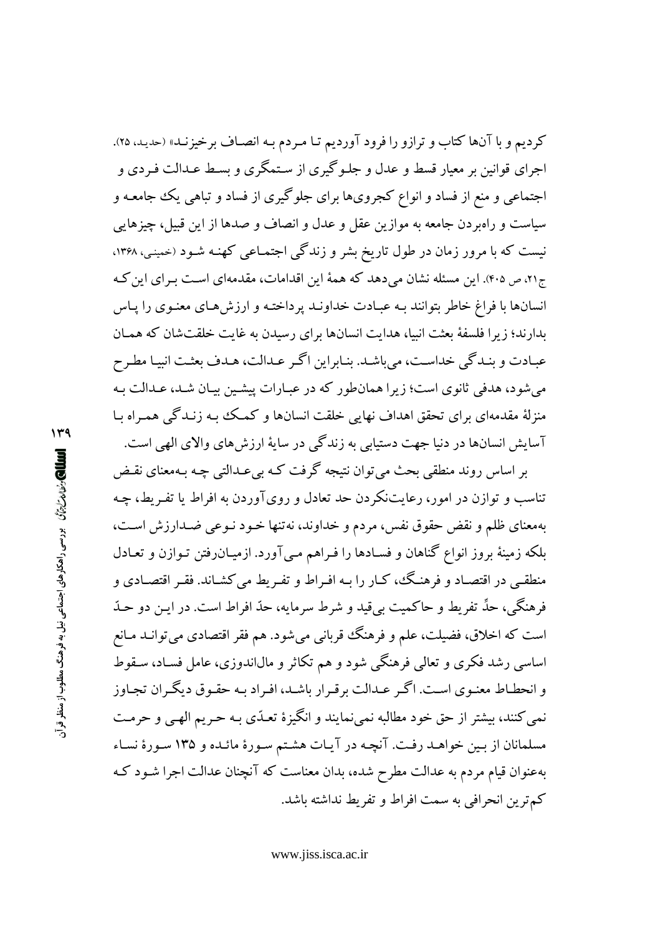كرديم و با آنها كتاب و ترازو را فرود آورديم تـا مـردم بـه انصـاف برخيزنـد» (حديـد، ٢٥). اجرای قوانین بر معیار قسط و عدل و جلـو گیری از سـتمگری و بسـط عـدالت فـردی و اجتماعی و منع از فساد و انواع کجرویها برای جلوگیری از فساد و تباهی یک جامعـه و سیاست و راهبردن جامعه به موازین عقل و عدل و انصاف و صدها از این قبیل، چیزهایی نیست که با مرور زمان در طول تاریخ بشر و زندگی اجتمـاعی کهنـه شـود (خمینـی، ۱۳۶۸، ج۲۱، ص ۴۰۵). این مسئله نشان می دهد که همهٔ این اقدامات، مقدمهای است بـرای این کـه انسانها با فراغ خاطر بتوانند بـه عبـادت خداونـد پرداختـه و ارزشهـای معنـوی را پـاس بدارند؛ زیرا فلسفهٔ بعثت انبیا، هدایت انسانها برای رسیدن به غایت خلقتشان که همـان عبـادت و بنـدگي خداسـت، ميباشـد. بنـابراين اگـر عـدالت، هـدف بعثـت انبيـا مطـرح می شود، هدفی ثانوی است؛ زیرا همانطور که در عبـارات پیشـین بیـان شـد، عـدالت بـه منزلهٔ مقدمهای برای تحقق اهداف نهایی خلقت انسانها و کمک به زنـدگی همـراه بـا آسایش انسانها در دنیا جهت دستیابی به زندگی در سایهٔ ارزش های والای الهی است.

بر اساس روند منطقی بحث می توان نتیجه گرفت کـه بی عـدالتی چـه بـهمعنای نقـض تناسب و توازن در امور، رعایتنکردن حد تعادل و رویآوردن به افراط یا تفـریط، چـه بهمعناي ظلم و نقض حقوق نفس، مردم و خداوند، نه تنها خـود نـوعي ضـدارزش اسـت، بلکه زمینهٔ بروز انواع گناهان و فسـادها را فـراهم مـی آورد. ازمیـان٫فتن تـوازن و تعـادل منطقی در اقتصـاد و فرهنـگ، کـار را بـه افـراط و تفـريط می کشـاند. فقـر اقتصـادی و فرهنگي، حدٍّ تفريط و حاكميت بي قيد و شرط سرمايه، حدّ افراط است. در اين دو حـدّ است که اخلاق، فضیلت، علم و فرهنگ قربانی میشود. هم فقر اقتصادی می توانـد مـانع اساسي رشد فکري و تعالمي فرهنگي شود و هم تکاثر و مالاندوزي، عامل فسـاد، سـقوط و انحطـاط معنـوي اسـت. اگـر عـدالت برقـرار باشـد، افـراد بـه حقـوق ديگـران تجـاوز نمي كنند، بيشتر از حق خود مطالبه نمي نمايند و انگيزهٔ تعـدّي بـه حـريم الهـي و حرمـت مسلمانان از بین خواهـد رفـت. آنچـه در آیـات هشـتم سـورهٔ مائـده و ۱۳۵ سـورهٔ نسـاء بهعنوان قیام مردم به عدالت مطرح شده، بدان معناست که آنچنان عدالت اجرا شـود کـه كم ترين انحرافي به سمت افراط و تفريط نداشته ىاشد.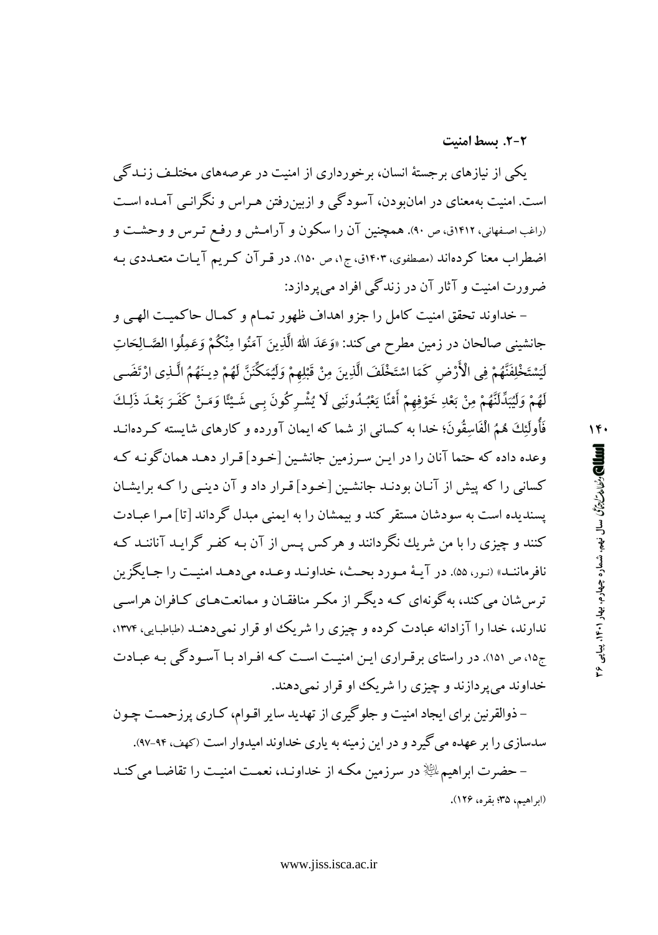2-2. بسط امنیت

یکی از نیازهای برجستهٔ انسان، برخورداری از امنیت در عرصههای مختلـف زنـدگی است. امنیت بهمعنای در امان و دن، آسودگی و ازبین رفتن هـراس و نگرانـی آمـده اسـت (راغب اصفهانی، ۱۴۱۲ق، ص ۹۰). همچنین آن را سکون و آرامش و رفع تـرس و وحشـت و اضطراب معنا کردهاند (مصطفوی، ۱۴۰۳ق، ج۱، ص ۱۵۰). در قـرآن کـریم آیـات متعـددی بـه ضرورت امنیت و آثار آن در زندگی افراد می پردازد:

– خداوند تحقق امنیت کامل را جزو اهداف ظهور تمـام و کمـال حاکمیـت الهـي و جانشيني صالحان در زمين مطرح مي كند: «وَعَدَ الله الَّذِينَ آمَنُوا مِنْكُمْ وَعَمِلُوا الصَّـالِحَاتِ لَيَسْتَخْلِفَنَّهُمْ فِي الْأَرْضِ كَمَا اسْتَخْلَفَ الَّذِينَ مِنْ قَبْلِهِمْ وَلَيُمَكِّنَنَّ لَهُمْ دِينَهُمُ الَّـذِي ارْتَضَـى لَهُمْ وَلَيْبَدِّلَنَّهُمْ مِنْ بَعْدِ خَوْفِهِمْ أَمْنًا يَعْبُدُونَنِي لَا يُشْـرِكُونَ بـي شَـيْئًا وَمَـنْ كَفَـرَ بَعْـدَ ذَلِـكَ فَأُولَئِكَ هُمُ الْفَاسِقُونَ؛ خدا به كساني از شما كه ايمان آورده و كارهاي شايسته كـردهانــد وعده داده که حتما آنان را در ایـن سـرزمین جانشـین [خـود] قـرار دهـد همان گونـه کـه کسانی را که پیش از آنـان بودنـد جانشـین [خـود] قـرار داد و آن دینـی را کـه برایشـان يسنديده است به سودشان مستقر كند و بيمشان را به ايمنى مبدل گرداند [تا] مـرا عبـادت کنند و چیزی را با من شریك نگردانند و هركس پس از آن بـه كفـر گرایـد آناننـد كـه نافرماننـد» (نـور، ۵۵). در آيـهٔ مـورد بحـث، خداونـد وعـده مي دهـد امنيـت را جـايگزين ترس شان می کند، به گونهای کـه دیگـر از مکـر منافقـان و ممانعتهـای کـافران هراسـی ندارند، خدا را آزادانه عبادت کرده و چیزی را شریک او قرار نمی دهنـد (طباطبایی، ۱۳۷۴، ج۱۵، ص ۱۵۱). در راستای بر قـراری ایـن امنیـت اسـت کـه افـراد بـا آسـودگی بـه عبـادت خداوند می پر دازند و چیزی را شریک او قرار نمی دهند.

– ذوالقرنین برای ایجاد امنیت و جلوگیری از تهدید سایر اقـوام، کـاری پرزحمـت چـون سدسازی را بر عهده می گیرد و در این زمینه به یاری خداوند امیدوار است (کهف، ۹۴-۹۲). – حضرت ابراهیمﷺ در سرزمین مکـه از خداونـد، نعمـت امنیـت را تقاضـا می کنـد (ابراهيم، ٣۵؛ بقره، ١٢۶).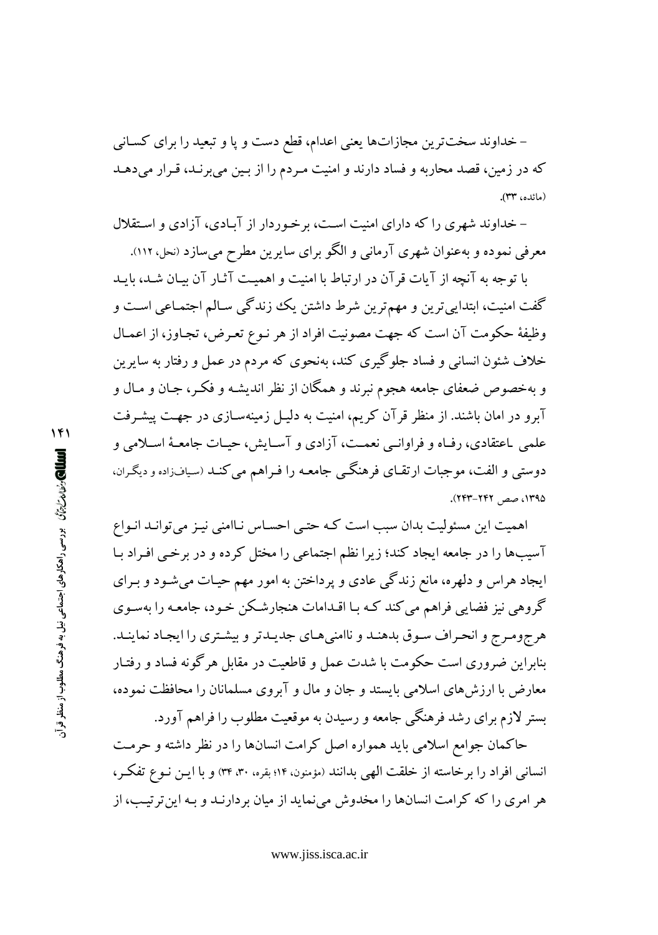– خداوند سخت ترین مجازاتها یعنی اعدام، قطع دست و پا و تبعید را برای کسـانی که در زمین، قصد محاربه و فساد دارند و امنیت مردم را از بین میبرنـد، قـرار میدهـد (مائده، ٣٣).

– خداوند شهری را که دارای امنیت است، برخوردار از آبادی، آزادی و استقلال معرفی نموده و بهعنوان شهری آرمانی و الگو برای سایرین مطرح می سازد (نحل، ۱۱۲).

با توجه به آنچه از آیات قر آن در ارتباط با امنیت و اهمیت آثـار آن بیـان شـد، بایـد گفت امنیت، ابتدایی ترین و مهم ترین شرط داشتن یک زندگی سـالم اجتمـاعی اسـت و وظيفهٔ حکومت آن است که جهت مصونيت افراد از هر نـوع تعـرض، تجـاوز، از اعمـال خلاف شئون انسانی و فساد جلوگیری کند، بهنحوی که مردم در عمل و رفتار به سایرین و بهخصوص ضعفای جامعه هجوم نبرند و همگان از نظر اندیشـه و فکـر، جـان و مـال و آبرو در امان باشند. از منظر قرآن کریم، امنیت به دلیـل زمینهسـازی در جهـت پیشـرفت علمي باعتقادي، رفَّـاه و فراوانــي نعمــت، آزادي و آسـايش، حيـات جامعـهٔ اسـلامي و دوستی و الفت، موجبات ارتقـای فرهنگـی جامعـه را فـراهم می کنـد (سیافزاده و دیگـران، ۱۳۹۵، صص ۲۴۲–۲۴۳).

اهمیت این مسئولیت بدان سبب است کـه حتـی احسـاس نـاامنی نیـز می توانـد انـواع آسیبها را در جامعه ایجاد کند؛ زیرا نظم اجتماعی را مختل کرده و در برخبی افـراد بـا ایجاد هراس و دلهره، مانع زندگی عادی و پرداختن به امور مهم حیـات میشـود و بـرای گروهی نیز فضایی فراهم می کند کـه بـا اقـدامات هنجارشـکن خـود، جامعـه را بهسـوی هرجومرج و انحراف سوق بدهنـد و ناامنىهـاى جديـدتر و بيشـترى را ايجـاد نماينـد. بنابراین ضروری است حکومت با شدت عمل و قاطعیت در مقابل هرگونه فساد و رفتـار معارض با ارزشهای اسلامی بایستد و جان و مال و آبروی مسلمانان را محافظت نموده، بستر لازم برای رشد فرهنگی جامعه و رسیدن به موقعیت مطلوب را فراهم آورد.

حاکمان جوامع اسلامی باید همواره اصل کرامت انسانها را در نظر داشته و حرمت انسانی افراد را برخاسته از خلقت الهی بدانند (مؤمنون، ۱۴؛ بقره، ۳۰، ۳۴) و با ایـن نـوع تفکـر، هر امری را که کرامت انسانها را مخدوش می نماید از میان بر دارنـد و بـه این تر تیـــــ، از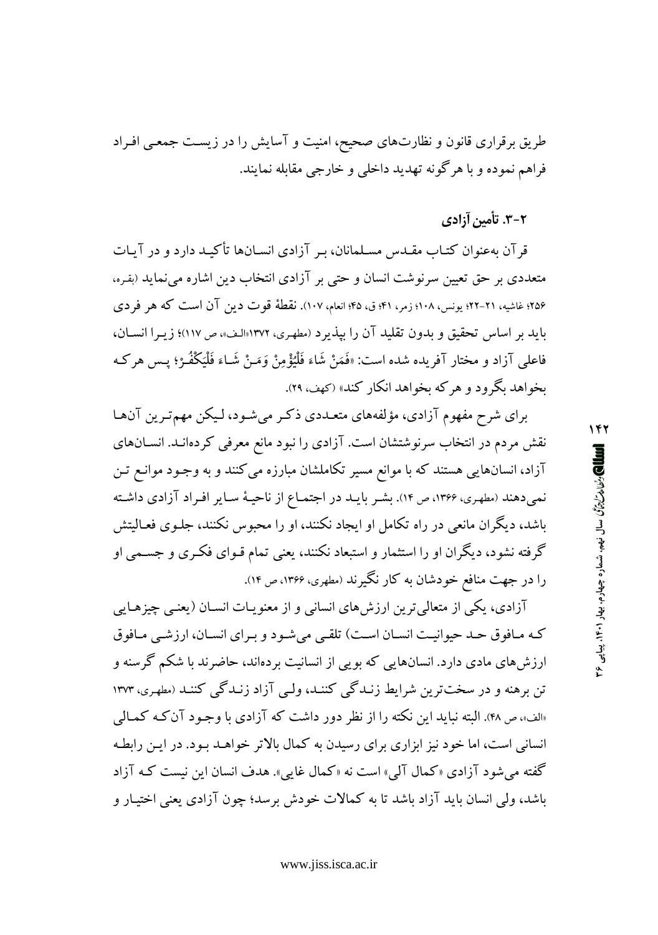طریق برقراری قانون و نظارتهای صحیح، امنیت و آسایش را در زیست جمعـی افـراد فراهم نموده و با هرگونه تهدید داخلی و خارجی مقابله نمایند.

۲-۳. تأمین آزادی

قرآن بهعنوان کتـاب مقـدس مسـلمانان، بـر آزادي انسـانها تأکيـد دارد و در آيـات متعددي بر حق تعيين سرنوشت انسان و حتى بر آزادي انتخاب دين اشاره مى نمايد (بقره، ۲۵۶؛ غاشیه، ۲۱-۲۲؛ یونس، ۱۰۸؛ زمر، ۴۱؛ ق، ۴۵؛ انعام، ۱۰۷). نقطهٔ قوت دین آن است که هر فردی بايد بر اساس تحقيق و بدون تقليد آن را بيذيرد (مطهري، ١٣٧٢«الف»، ص ١١٧)؛ زيبرا انسيان، فاعلي آزاد و مختار آفريده شده است: «فَمَنْ شَاءَ فَلْيُؤْمِنْ وَمَنْ شَاءَ فَلْيَكْفُوْ؛ يِس هر كِه بخواهد بگرود و هر که بخواهد انکار کند» (کهف، ۲۹).

برای شرح مفهوم آزادی، مؤلفههای متعـددی ذکـر میشـود، لـیکن مهمترین آنهـا نقش مردم در انتخاب سرنوشتشان است. آزادی را نبود مانع معرفی کردهانـد. انســانهای آزاد، انسانهایی هستند که با موانع مسیر تکاملشان مبارزه می کنند و به وجـود موانـع تـن نمیدهند (مطهری، ۱۳۶۶، ص ۱۴). بشـر بایـد در اجتمـاع از ناحیـهٔ سـایر افـراد آزادی داشـته باشد، دیگران مانعی در راه تکامل او ایجاد نکنند، او را محبوس نکنند، جلـوی فعـالیتش گرفته نشود، دیگران او را استثمار و استبعاد نکنند، یعنی تمام قـوای فکـری و جسـمی او را در جهت منافع خودشان به کار نگیرند (مطهری، ۱۳۶۶، ص ۱۴).

آزادی، یکی از متعالی ترین ارزش های انسانی و از معنویـات انسـان (یعنـی چیزهـایی که مافوق حد حیوانیت انسان است) تلقبی میشود و برای انسان، ارزشبی مافوق ارزش های مادی دارد. انسانهایی که بویی از انسانیت بردهاند، حاضرند با شکم گرسنه و تن برهنه و در سختترین شرایط زنـدگی کننـد، ولـی آزاد زنـدگی کننـد (مطهـری، ۱۳۷۳ «الف»، ص ۴۸). البته نباید این نکته را از نظر دور داشت که آزادی با وجـود آن کـه کمـالم <sub>،</sub> انسانی است، اما خود نیز ابزاری برای رسیدن به کمال بالاتر خواهـد بـود. در ایـن رابطـه گفته می شود آزادی «کمال آلی» است نه «کمال غایی». هدف انسان این نیست کـه آزاد باشد، ولی انسان باید آزاد باشد تا به کمالات خودش برسد؛ چون آزادی یعنی اختیـار و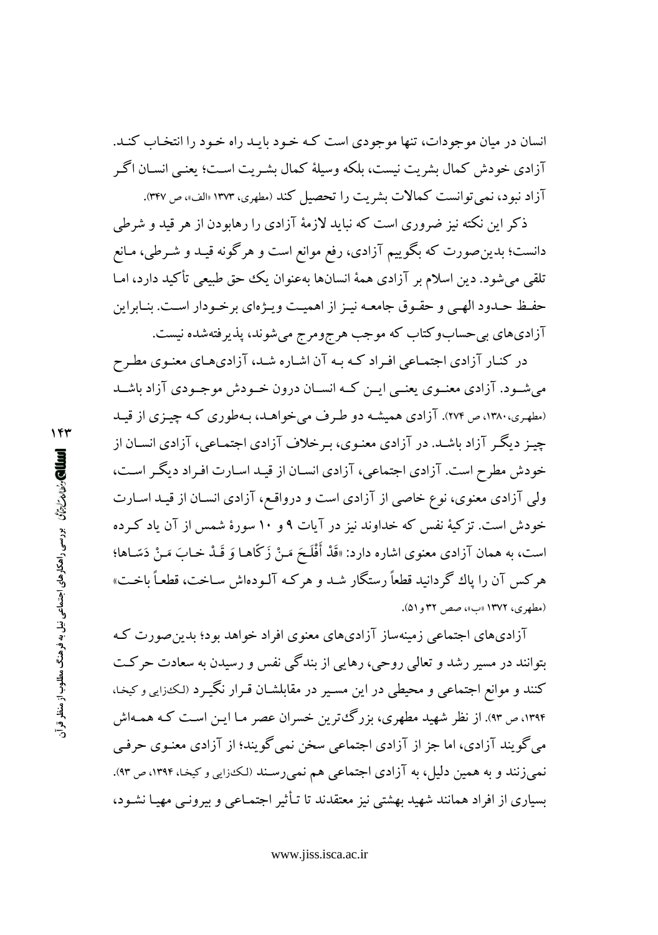انسان در میان موجودات، تنها موجودی است کـه خـود بایـد راه خـود را انتخـاب کنـد. آزادي خودش كمال بشريت نيست، بلكه وسيلهٔ كمال بشـريت اسـت؛ يعنـي انســان اگـر آزاد نبود، نمی توانست کمالات بشریت را تحصیل کند (مطهری، ۱۳۷۳ «الف»، ص ۳۳۷.

ذکر این نکته نیز ضروری است که نباید لازمهٔ آزادی را رهابودن از هر قید و شرطی دانست؛ بدین صورت که بگوییم آزادی، رفع موانع است و هرگونه قیـد و شـرطی، مـانع تلقی میشود. دین اسلام بر آزادی همهٔ انسانها بهعنوان یک حق طبیعی تأکید دارد، امـا حفـظ حـدود الهـى و حقـوق جامعـه نيـز از اهميـت ويـژهاى برخـودار اسـت. بنـابراين آزادیهای بیحسابوکتاب که موجب هرجومرج میشوند، پذیرفتهشده نیست.

در کنـار آزادي اجتمـاعي افـراد کـه بـه آن اشـاره شـد، آزاديهـاي معنـوي مطـرح می شـود. آزادی معنـوی یعنـبی ایــن کــه انســان درون خــودش موجــودی آزاد باشــد (مطهري،١٣٨٠، ص ٢٧٣). آزادي هميشـه دو طـرف مي خواهـد، بـهطوري كـه چيـزي از قيـد چیـز دیگـر آزاد باشـد. در آزادی معنـوی، بـرخلاف آزادی اجتمـاعی، آزادی انسـان از خودش مطرح است. آزادي اجتماعي، آزادي انسـان از قيـد اسـارت افـراد ديگـر اسـت، ولی آزادی معنوی، نوع خاصی از آزادی است و درواقع، آزادی انسـان از قیـد اسـارت خودش است. تزکیهٔ نفس که خداوند نیز در آیات ۹و ۱۰ سورهٔ شمس از آن یاد کـرده است، به همان آزادي معنوي اشاره دارد: «قَدْ أَفْلَحَ مَـنْ زَكَّاهـا وَ قَـدْ خـابَ مَـنْ دَسّـاها؛ هرکس آن را پاك گردانيد قطعاً رستگار شـد و هرکـه آلـودهاش سـاخت، قطعـاً باخـت» (مطهري، ١٣٧٢ «ب»، صص ٣٢ و٥١).

آزادیهای اجتماعی زمینهساز آزادیهای معنوی افراد خواهد بود؛ بدین صورت ک بتوانند در مسیر رشد و تعالمی روحی، رهایی از بندگی نفس و رسیدن به سعادت حرکت کنند و موانع اجتماعی و محیطی در این مسـیر در مقابلشـان قـرار نگیـرد (لـکنزایی و کیخـا، ۱۳۹۴، ص ۹۳. از نظر شهید مطهری، بزرگئترین خسران عصر مـا ایـن اسـت کـه همـهاش می گویند آزادی، اما جز از آزادی اجتماعی سخن نمی گویند؛ از آزادی معنـوی حرفـی نمی زنند و به همین دلیل، به آزادی اجتماعی هم نمی رسند (لکدرایی و کیخا، ۱۳۹۴، ص ۹۳). بسیاری از افراد همانند شهید بهشتی نیز معتقدند تا تـأثیر اجتمـاعی و بیرونـی مهیـا نشـود،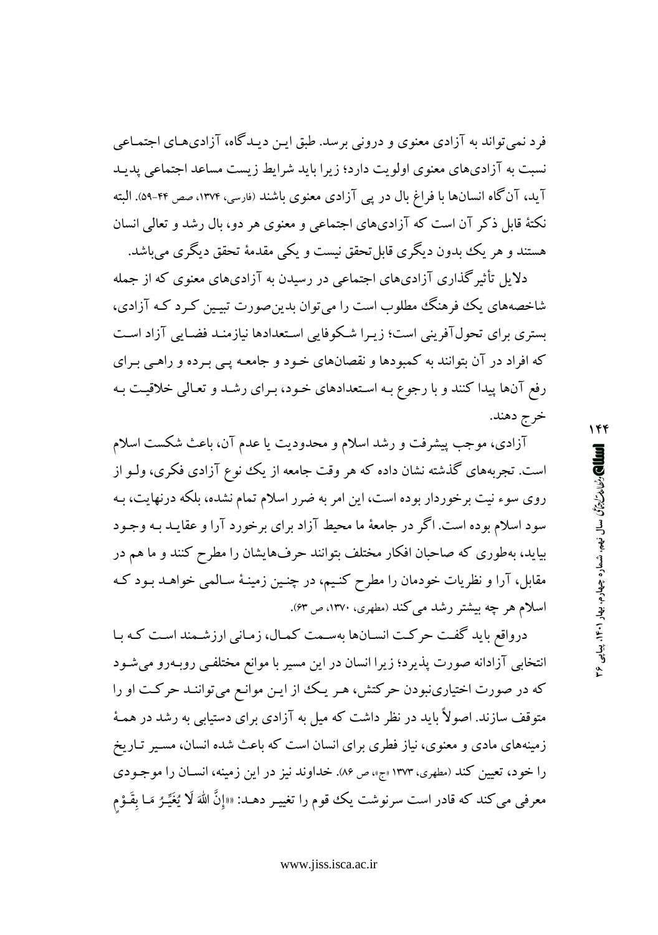فرد نمی تواند به آزادی معنوی و درونی برسد. طبق ایـن دیـدگاه، آزادیهـای اجتمـاعی نسبت به آزادیهای معنوی اولویت دارد؛ زیرا باید شرایط زیست مساعد اجتماعی پدید آيد، آنگاه انسانها با فراغ بال در پي آزادي معنوي باشند (فارسي، ۱۳۷۴، صص ۴۴-۵۹). البته نکتهٔ قابل ذکر آن است که آزادیهای اجتماعی و معنوی هر دو، بال رشد و تعالی انسان هستند و هر يک بدون ديگري قابل تحقق نيست و يکي مقدمهٔ تحقق ديگري ميباشد.

دلایل تأثیر گذاری آزادیهای اجتماعی در رسیدن به آزادیهای معنوی که از جمله شاخصههای یک فوهنگ مطلوب است را می توان بدین صورت تبیین کـرد کـه آزادی، بستری برای تحولآفرینی است؛ زیـرا شـکوفایی اسـتعدادها نیازمنـد فضـایی آزاد اسـت که افراد در آن بتوانند به کمبودها و نقصانهای خـود و جامعـه پـی بـرده و راهـی بـرای رفع آنها پیدا کنند و با رجوع بـه اسـتعدادهای خـود، بـرای رشـد و تعـالی خلاقیـت بـه خرج دهند.

آزادی، موجب پیشرفت و رشد اسلام و محدودیت یا عدم آن، باعث شکست اسلام است. تجربههای گذشته نشان داده که هر وقت جامعه از یک نوع آزادی فکری، ولـو از روی سوء نیت برخوردار بوده است، این امر به ضرر اسلام تمام نشده، بلکه درنهایت، بـه سود اسلام بوده است. اگر در جامعهٔ ما محیط آزاد برای برخورد آرا و عقایــد بــه وجــود بیاید، بهطوری که صاحبان افکار مختلف بتوانند حرفهایشان را مطرح کنند و ما هم در مقابل، آرا و نظریات خودمان را مطرح کنـیم، در چنـین زمینـهٔ سـالمبی خواهــد بـود کـه اسلام هر چه بیشتر رشد می کند (مطهری، ۱۳۷۰، ص ۶۳).

درواقع باید گفت حرکت انسانها بهسمت کمال، زمانی ارزشمند است که با انتخابی آزادانه صورت پذیرد؛ زیرا انسان در این مسیر با موانع مختلفـی روبـهرو میشـود که در صورت اختیارینبودن حرکتش، هـر یـک از ایـن موانـع میتواننـد حرکـت او را متوقف سازند. اصولاً باید در نظر داشت که میل به آزادی برای دستیابی به رشد در همـهٔ زمینههای مادی و معنوی، نیاز فطری برای انسان است که باعث شده انسان، مسـیر تـاریخ را خود، تعیین کند (مطهری، ۱۳۷۳ مع» ص ۸۶. خداوند نیز در این زمینه، انسـان را موجـودی معرفی می کند که قادر است سرنوشت یک قوم را تغییـر دهـد: ««إنَّ اللهَ لَا يُغَيِّـرُ مَـا بِقَـوْم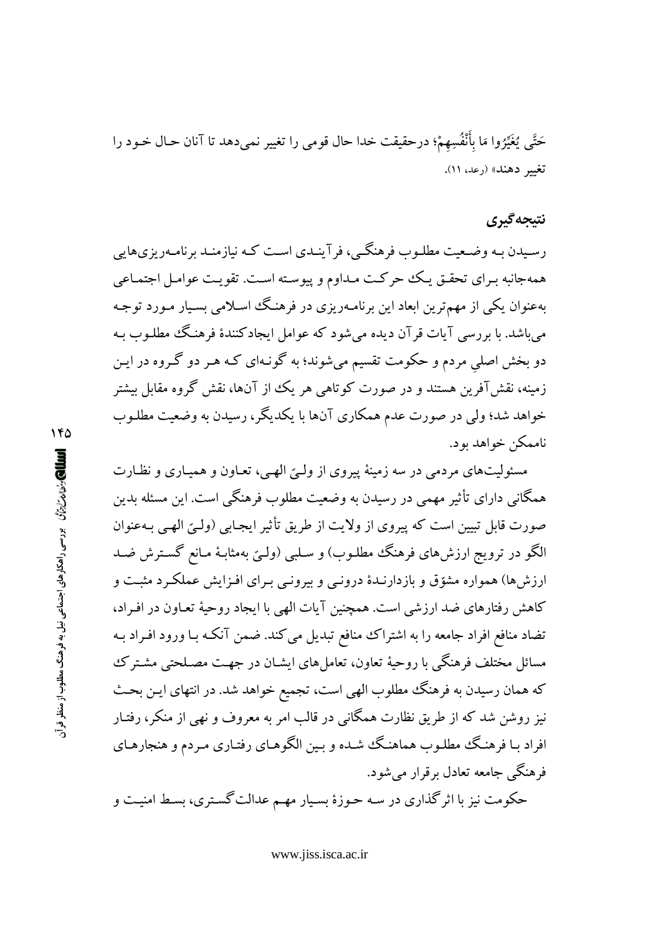حَتَّى يُغَيِّرُوا مَا بِأَنْفُسِهِمْ؛ درحقيقت خدا حال قومي را تغيير نميدهد تا آنان حـال خـود را تغيير دهند» (رعد، ١١).

### نتبجه گیری

رسیدن بـه وضـعیت مطلـوب فرهنگـی، فر آینـدی اسـت کـه نیازمنـد برنامـهریزیهایی همهجانبه بـراي تحقـق يـك حركـت مـداوم و پيوسـته اسـت. تقويـت عوامـل اجتمـاعي بهعنوان یکی از مهم ترین ابعاد این برنامـهریزی در فرهنگ اسـلامی بسـیار مـورد توجـه مي باشد. با بررسي آيات قرآن ديده مي شود كه عوامل ايجادكنندهٔ فرهنگ مطلـوب بـه دو بخش اصلی مردم و حکومت تقسیم میشوند؛ به گونـهای کـه هـر دو گـروه در ایـن زمینه، نقش آفرین هستند و در صورت کوتاهی هر یک از آنها، نقش گروه مقابل بیشتر خواهد شد؛ ولی در صورت عدم همکاری آنها با یکدیگر، رسیدن به وضعیت مطلـوب ناممکن خواهد بو د.

مسئولیتهای مردمی در سه زمینهٔ پیروی از ولـیّ الهـی، تعـاون و همیـاری و نظـارت همگانی دارای تأثیر مهمی در رسیدن به وضعیت مطلوب فرهنگی است. این مسئله بدین صورت قابل تبیین است که پیروی از ولایت از طریق تأثیر ایجـابی (ولـیّ الهـی بـهعنوان الگو در ترویج ارزش های فرهنگ مطلـوب) و سـلبی (ولـیّ بهمثابـهٔ مـانع گسـترش ضـد ارزش ها) همواره مشوّق و بازدارنـدهٔ درونـی و بیرونـی بـرای افـزایش عملکـرد مثبـت و كاهش رفتارهاي ضد ارزشي است. همچنين آيات الهي با ايجاد روحيهٔ تعـاون در افـراد، تضاد منافع افراد جامعه را به اشتراک منافع تبدیل می کند. ضمن آنکـه بـا ورود افـراد بـه مسائل مختلف فرهنگی با روحیهٔ تعاون، تعامل های ایشـان در جهـت مصـلحتی مشـتر ک که همان رسیدن به فرهنگ مطلوب الهی است، تجمیع خواهد شد. در انتهای ایـن بحـث نیز روشن شد که از طریق نظارت همگانی در قالب امر به معروف و نهی از منکر، رفتـار افراد بـا فرهنگ مطلـوب هماهنگ شـده و بـین الگوهـای رفتـاری مـردم و هنجارهـای فر هنگے جامعه تعادل برقرار میشود.

حکومت نیز با اثر گذاری در سه حـوزهٔ بسـیار مهـم عدالت گسـتری، بسـط امنیـت و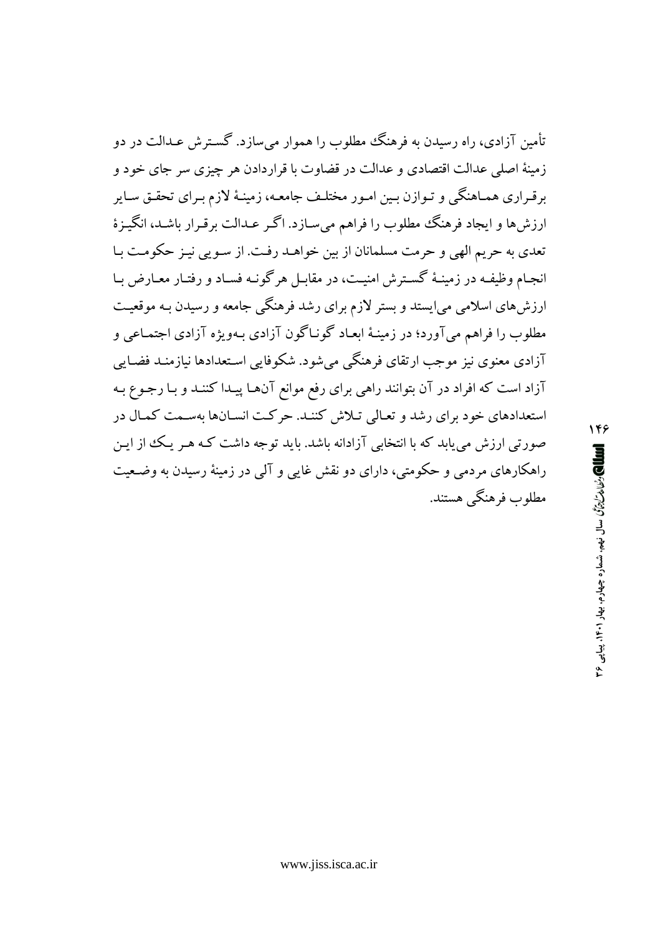تأمین آزادی، راه رسیدن به فرهنگ مطلوب را هموار می سازد. گسترش عـدالت در دو زمینهٔ اصلی عدالت اقتصادی و عدالت در قضاوت با قراردادن هر چیزی سر جای خود و برقـراری همـاهنگی و تـوازن بـین امـور مختلـف جامعـه، زمینـهٔ لازم بـرای تحقـق سـایر ارزش ها و ایجاد فرهنگ مطلوب را فراهم می سـازد. اگـر عـدالت برقـرار باشـد، انگیـزهٔ تعدي به حريم الهي و حرمت مسلمانان از بين خواهـد رفـت. از سـويي نيـز حكومـت بـا انجـام وظيفـه در زمينـهٔ گسـترش امنيـت، در مقابـل هرگونـه فسـاد و رفتـار معـارض بـا ارزش های اسلامی می!یستد و بستر لازم برای رشد فرهنگی جامعه و رسیدن بـه موقعیـت مطلوب را فراهم مي آورد؛ در زمينـهٔ ابعـاد گونـاگون آزادي بـهويژه آزادي اجتمـاعي و آزادی معنوی نیز موجب ارتقای فرهنگی میشود. شکوفایی استعدادها نیازمنـد فضـایی آزاد است که افراد در آن بتوانند راهی برای رفع موانع آنها پیـدا کننـد و بـا رجـوع بـه استعدادهای خود برای رشد و تعالی تلاش کننـد. حرکـت انسـانها بهسـمت کمـال در صورتی ارزش می باید که با انتخابی آزادانه باشد. باید توجه داشت کـه هـر یـک از ایـن راهکارهای مردمی و حکومتی، دارای دو نقش غایی و آلمی در زمینهٔ رسیدن به وضعیت مطلوب فرهنگے هستند.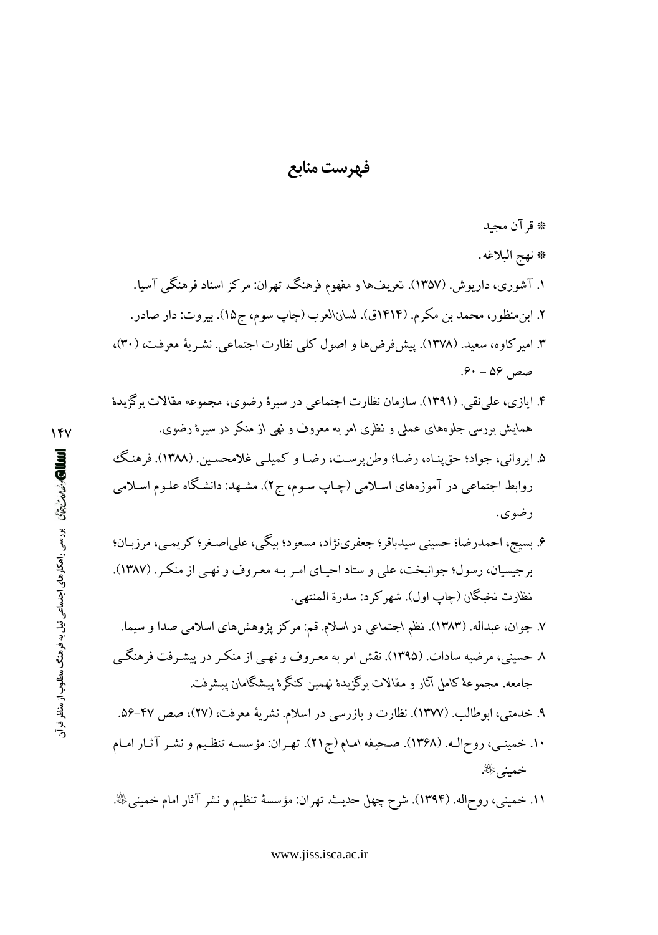#### فهرست منابع

\* قرآن مجيد

- \* نهج البلاغه. ۱. آشوری، داریوش. (۱۳۵۷). تعریفها و مفهوم فرهنگ. تهران: مرکز اسناد فرهنگی آسیا. ۲. ابن.منظور، محمد بن مکرم. (۱۴۱۴ق). لسان\لعرب (چاپ سوم، ج۱۵). بیروت: دار صادر. ۳. امیر کاوه، سعید. (۱۳۷۸). پیش فرضها و اصول کلی نظارت اجتماعی. نشـریهٔ معرفت، (۳۰)، صص ۵۶ - ۶۰.
- ۴. ايازي، علي نقي. (١٣٩١). سازمان نظارت اجتماعي در سيرهٔ رضوي، مجموعه مقالات برگزيدهٔ همایش بررسی جلوههای عملی و نظری امر به معروف و نهی از منکر در سیرهٔ رضوی.
- ۵. ايرواني، جواد؛ حق پنـاه، رضـا؛ وطن پرسـت، رضـا و كـميلـي غلامحسـين. (١٣٨٨). فرهنگَ روابط اجتماعی در آموزههای اسلامی (چـاپ سـوم، ج۲). مشـهد: دانشـگاه علـوم اسـلامی رضوي.
- ۶. بسیج، احمدرضا؛ حسینی سیدباقر؛ جعفرینژاد، مسعود؛ بیگی، علی|صـغر؛ کریمـی، مرزبـان؛ برجیسیان، رسول؛ جوانبخت، علی و ستاد احیـای امـر بـه معـروف و نهـی از منکـر . (۱۳۸۷). نظارت نخبگان (چاپ اول). شهر كرد: سدرة المنتهي.
- ۷. جوان، عبداله. (۱۳۸۳). نظم اجتماعی در اسلام. قم: مرکز پژوهش۵ای اسلامی صدا و سیما. ۸ حسینی، مرضیه سادات. (۱۳۹۵). نقش امر به معـروف و نهـی از منکـر در پیشـرفت فرهنگـی جامعه. مجموعهٔ کامل آثار و مقالات برگزیدهٔ نهمین کنگرهٔ پیشگامان پیشرفت.
- ۹. خدمتی، ابوطالب. (۱۳۷۷). نظارت و بازرسی در اسلام. نشریهٔ معرفت، (۲۷)، صص ۴۷-۵۶. ۱۰. خمینـی، روح|لـه. (۱۳۶۸). صـحیفه امـام (ج۲۱). تهـران: مؤسسـه تنظـیم و نشـر آثـار امـام خميني ﷺ.
- ١١. خمینبی، روحاله. (١٣٩۴). شرح چهل حدیث. تهران: مؤسسهٔ تنظیم و نشر آثار امام خمینبيﷺ.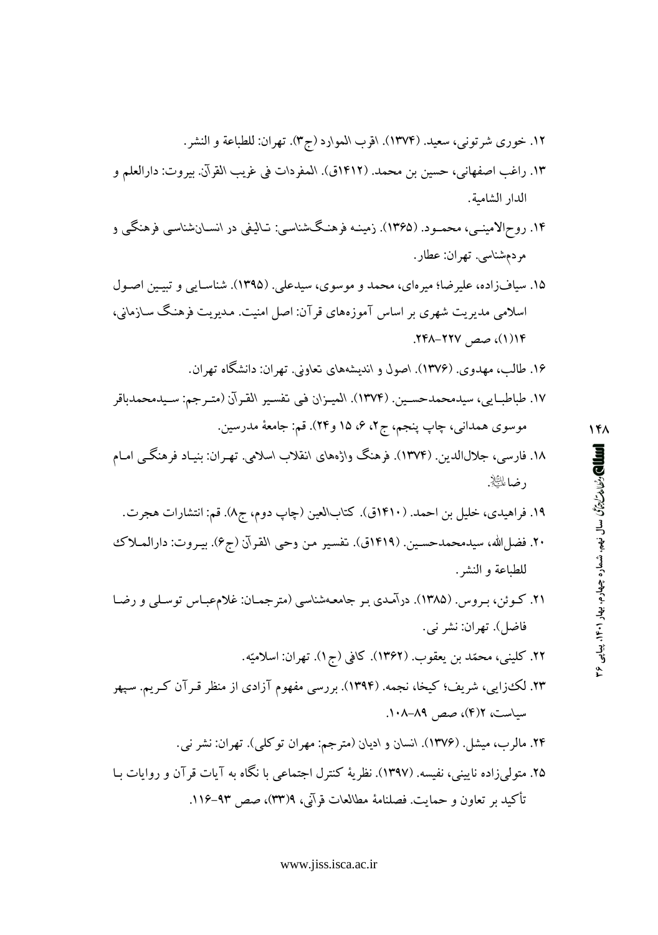- ١٢. خوري شرتوني، سعيد. (١٣٧۴). اقرب الموارد (ج٣). تهران: للطباعة و النشر. ١٣. راغب اصفهاني، حسين بن محمد. (١٤١٢ق). المفردات في غريب القرآن. بيروت: دارالعلم و
- الدار الشامبة.
- ۱۴. روح|لامینــی، محمــود. (۱۳۶۵). زمینـه فرهنـگـشناسـی: تـالیفی در انســانشناسـی فرهنگـی و مردمشناسي. تهران: عطار.
- ۱۵. سیافزاده، علیرضا؛ میرهای، محمد و موسوی، سیدعلی. (۱۳۹۵). شناسـایی و تبیـین اصـول اسلامی مدیریت شهری بر اساس آموزههای قرآن: اصل امنیت. مـدیریت فرهنگ سـازمانی، ١/ (١)، صص ٢٢٧-٢٤٨.
	- ۱۶. طالب، مهدوی. (۱۳۷۶). اصول و اندیشههای تعاونی. تهران: دانشگاه تهران.
- ١٧. طباطبـايي، سيدمحمدحسـين. (١٣٧٤). الميـزان في تفسـير القـرآن (متـرجم: سـيدمحمدباقر موسوي همداني، چاپ پنجم، ج۲، ۶، ۱۵ و۲۴). قم: جامعهٔ مدرسین.
- ۱۸. فارسی، جلالالدین (۱۳۷۴). فرهنگ واژههای انقلاب اسلامی. تهـران: بنیـاد فرهنگــی امـام د ضاءلتاييز.
	- ۱۹. فراهیدی، خلیل بن احمد. (۱۴۱۰ق). کتابالعین (چاپ دوم، ج۸). قم: انتشارات هجرت.
- ٢٠. فضل|الله، سيدمحمدحسـين. (١٤١٩ق). تفسير من وحيي القرآن (ج۶). بيـروت: دارالمـلاك للطباعة و النشر .
- ۲۱. کــوئن، بـروس. (۱۳۸۵). درآمـدي بـر جامعـهشناسـي (مترجمـان: غلام،عبـاس توسـلـي و رضـا فاضل). تهران: نشر نبي.
	- ۲۲. کلینی، محمّد بن یعقوب. (۱۳۶۲). کافی (ج۱). تهران: اسلامیّه.
- ۲۳. لک،زایی، شریف؛ کیخا، نجمه. (۱۳۹۴). بررسی مفهوم آزادی از منظر قـرآن کـریم. سـپهر سیاست، ۲(۴)، صص ۸۹–۱۰۸.
- ۲۴. مالرب، میشل. (۱۳۷۶). انسان و ادیان (مترجم: مهران توکلی). تهران: نشر نبی. ۲۵. متولی زاده ناپنے، نفسه. (۱۳۹۷). نظریهٔ کنترل اجتماعی یا نگاه به آبات قرآن و روایات سا تأكيد بر تعاون و حمايت. فصلنامهٔ مطالعات قرآني، ٩٣(٣٣)، صص ٩٣-١١۶.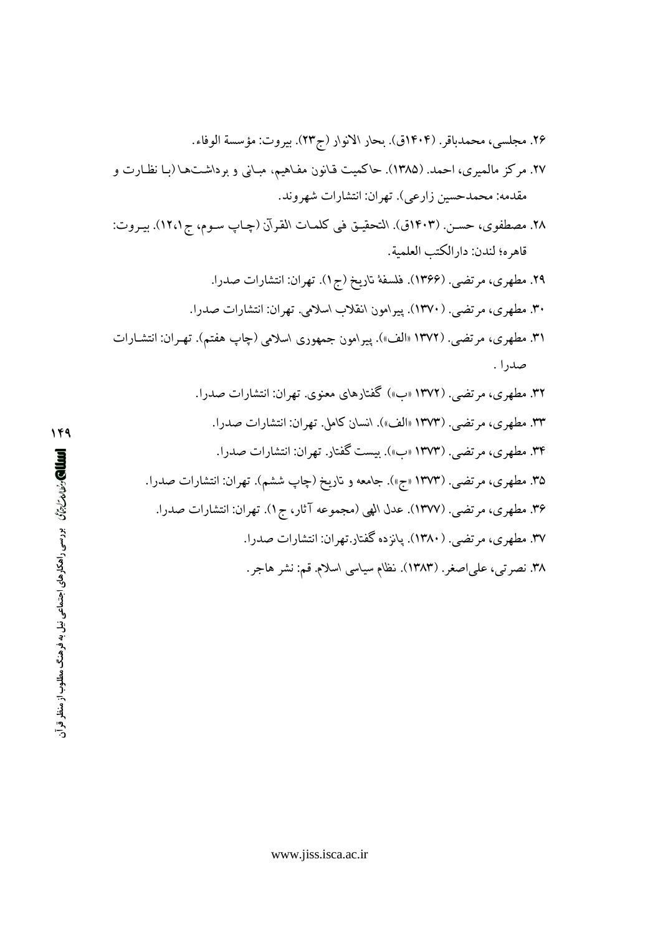- ٢٨. مصطفوى، حسـن. (١۴٠٣ق). التحقيـق فـى كلمـات القـرآن (چـاپ سـوم، ج١٢،١). بيـروت: قاهره؛ لندن: دارالكتب العلمية.
	- ۲۹. مطهری، مرتضی. (۱۳۶۶). فلسفهٔ تاریخ (ج۱). تهران: انتشارات صدرا.
	- ۳۰. مطهری، مرتضی. (۱۳۷۰). پیرامون انقلاب اسلامی. تهران: انتشارات صدرا.
- ۳۱. مطهری، مرتضی. (۱۳۷۲ «الف»). پیرامون جمهوری اسلامی (چاپ هفتم). تهـران: انتشـارات صدرا .
	- ۳۲. مطهری، مرتضبی. (۱۳۷۲ «ب») گفتارهای معنوی. تهران: انتشارات صدرا. ٣٣. مطهري، مرتضى. (١٣٧٣ «الف»). انسان كامل. تهران: انتشارات صدرا. ۳۴. مطهري، مرتضى. (۱۳۷۳ «ب»). بيست گفتار. تهران: انتشارات صدرا. ۳۵. مطهری، مرتضی. (۱۳۷۳ «ج»). جامعه و تاریخ (چاپ ششم). تهران: انتشارات صدرا. ۳۶. مطهري، مرتضى. (١٣٧٧). عدل الهي (مجموعه آثار، ج١). تهران: انتشارات صدرا. ۳۷. مطهری، مرتضی. (۱۳۸۰). پانزده گفتار.تهران: انتشارات صدرا. ٣٨. نصرتبي، علي|صغر. (١٣٨٣). نظام سياسي اسلام. قم: نشر هاجر.

و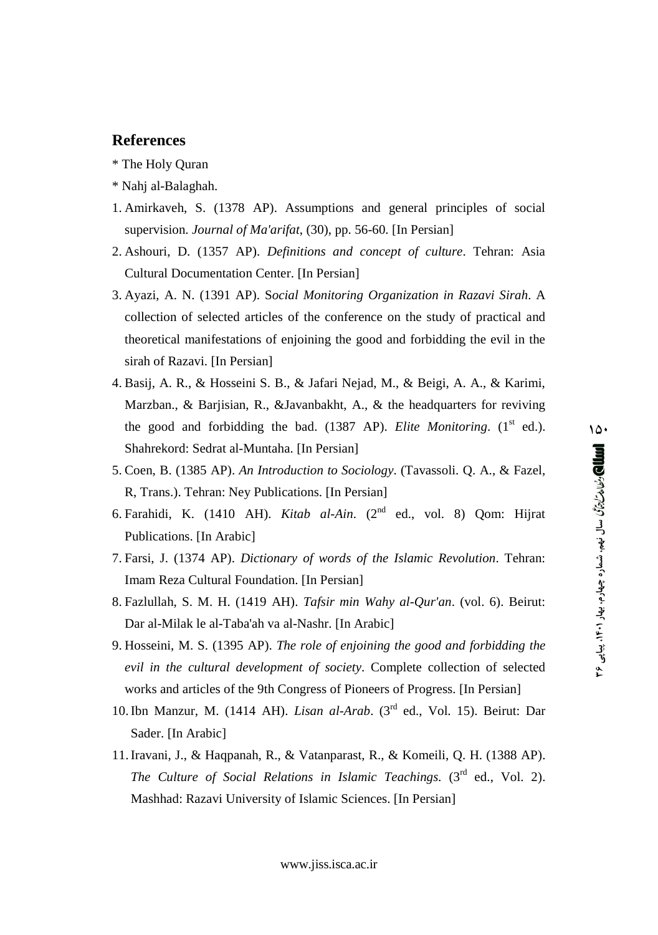#### **References**

- \* The Holy Quran
- \* Nahj al-Balaghah.
- 1. Amirkaveh, S. (1378 AP). Assumptions and general principles of social supervision. *Journal of Ma'arifat*, (30), pp. 56-60. [In Persian]
- 2. Ashouri, D. (1357 AP). *Definitions and concept of culture*. Tehran: Asia Cultural Documentation Center. [In Persian]
- 3. Ayazi, A. N. (1391 AP). S*ocial Monitoring Organization in Razavi Sirah*. A collection of selected articles of the conference on the study of practical and theoretical manifestations of enjoining the good and forbidding the evil in the sirah of Razavi. [In Persian]
- 4. Basij, A. R., & Hosseini S. B., & Jafari Nejad, M., & Beigi, A. A., & Karimi, Marzban., & Barjisian, R., &Javanbakht, A., & the headquarters for reviving the good and forbidding the bad. (1387 AP). *Elite Monitoring*. (1<sup>st</sup> ed.). Shahrekord: Sedrat al-Muntaha. [In Persian]
- 5. Coen, B. (1385 AP). *An Introduction to Sociology*. (Tavassoli. Q. A., & Fazel, R, Trans.). Tehran: Ney Publications. [In Persian]
- 6. Farahidi, K. (1410 AH). *Kitab al-Ain*. (2 nd ed., vol. 8) Qom: Hijrat Publications. [In Arabic]
- 7. Farsi, J. (1374 AP). *Dictionary ofwords of the Islamic Revolution*. Tehran: Imam Reza Cultural Foundation. [In Persian]
- 8. Fazlullah, S. M. H. (1419 AH). *Tafsir min Wahy al-Qur'an*. (vol. 6). Beirut: Dar al-Milak le al-Taba'ah va al-Nashr. [In Arabic]
- 9. Hosseini, M. S. (1395 AP). *The role of enjoining the good and forbidding the evil in the cultural development of society*. Complete collection of selected works and articles of the 9th Congress of Pioneers of Progress. [In Persian]
- 10. Ibn Manzur, M. (1414 AH). *Lisan al-Arab*. (3<sup>rd</sup> ed., Vol. 15). Beirut: Dar Sader. [In Arabic]
- 11.Iravani, J., & Haqpanah, R., & Vatanparast, R., & Komeili, Q. H. (1388 AP). *The Culture of Social Relations in Islamic Teachings.* (3 rd ed., Vol. 2). Mashhad: Razavi University of Islamic Sciences. [In Persian]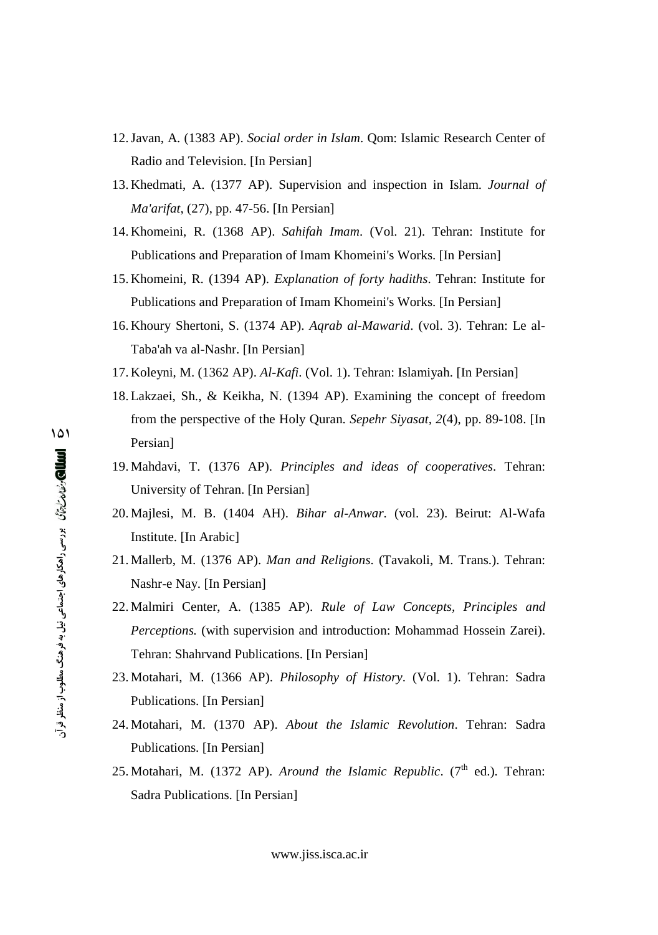- 12.Javan, A. (1383 AP). *Social order in Islam*. Qom: Islamic Research Center of Radio and Television. [In Persian]
- 13. Khedmati, A. (1377 AP). Supervision and inspection in Islam. *Journal of Ma'arifat*, (27), pp. 47-56. [In Persian]
- 14. Khomeini, R. (1368 AP). *Sahifah Imam*. (Vol. 21). Tehran: Institute for Publications and Preparation of Imam Khomeini's Works. [In Persian]
- 15. Khomeini, R. (1394 AP). *Explanation of forty hadiths*. Tehran: Institute for Publications and Preparation of Imam Khomeini's Works. [In Persian]
- 16. Khoury Shertoni, S. (1374 AP). *Aqrab al-Mawarid*. (vol. 3). Tehran: Le al- Taba'ah va al-Nashr. [In Persian]
- 17. Koleyni, M. (1362 AP). *Al-Kafi*. (Vol. 1). Tehran: Islamiyah. [In Persian]
- 18. Lakzaei, Sh., & Keikha, N. (1394 AP). Examining the concept of freedom from the perspective of the Holy Quran. *Sepehr Siyasat, 2*(4), pp. 89-108. [In Persian]
- 19. Mahdavi, T. (1376 AP). *Principles and ideas of cooperatives*. Tehran: University of Tehran. [In Persian]
- 20. Majlesi, M. B. (1404 AH). *Bihar al-Anwar*. (vol. 23). Beirut: Al-Wafa Institute. [In Arabic]
- 21. Mallerb, M. (1376 AP). *Man and Religions*. (Tavakoli, M. Trans.). Tehran: Nashr-e Nay. [In Persian]
- 22. Malmiri Center, A. (1385 AP). *Rule of Law Concepts, Principles and Perceptions.* (with supervision and introduction: Mohammad Hossein Zarei). Tehran: Shahrvand Publications. [In Persian]
- 23. Motahari, M. (1366 AP). *Philosophy of History*. (Vol. 1). Tehran: Sadra Publications. [In Persian]
- 24. Motahari, M. (1370 AP). *About the Islamic Revolution*. Tehran: Sadra Publications. [In Persian]
- 25. Motahari, M. (1372 AP). *Around the Islamic Republic.* (7<sup>th</sup> ed.). Tehran: Sadra Publications. [In Persian]